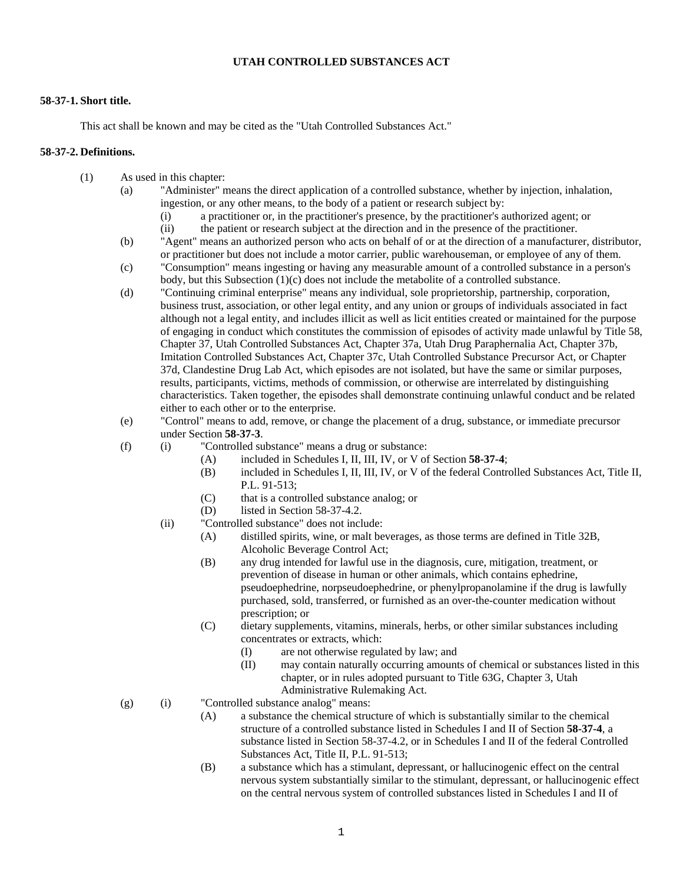# **UTAH CONTROLLED SUBSTANCES ACT**

#### **58-37-1. Short title.**

This act shall be known and may be cited as the "Utah Controlled Substances Act."

#### **58-37-2. Definitions.**

- (1) As used in this chapter:
	- (a) "Administer" means the direct application of a controlled substance, whether by injection, inhalation, ingestion, or any other means, to the body of a patient or research subject by:
		- (i) a practitioner or, in the practitioner's presence, by the practitioner's authorized agent; or
		- (ii) the patient or research subject at the direction and in the presence of the practitioner.
	- (b) "Agent" means an authorized person who acts on behalf of or at the direction of a manufacturer, distributor, or practitioner but does not include a motor carrier, public warehouseman, or employee of any of them.
	- (c) "Consumption" means ingesting or having any measurable amount of a controlled substance in a person's body, but this Subsection (1)(c) does not include the metabolite of a controlled substance.
	- (d) "Continuing criminal enterprise" means any individual, sole proprietorship, partnership, corporation, business trust, association, or other legal entity, and any union or groups of individuals associated in fact although not a legal entity, and includes illicit as well as licit entities created or maintained for the purpose of engaging in conduct which constitutes the commission of episodes of activity made unlawful by Title 58, Chapter 37, Utah Controlled Substances Act, Chapter 37a, Utah Drug Paraphernalia Act, Chapter 37b, Imitation Controlled Substances Act, Chapter 37c, Utah Controlled Substance Precursor Act, or Chapter 37d, Clandestine Drug Lab Act, which episodes are not isolated, but have the same or similar purposes, results, participants, victims, methods of commission, or otherwise are interrelated by distinguishing characteristics. Taken together, the episodes shall demonstrate continuing unlawful conduct and be related either to each other or to the enterprise.
	- (e) "Control" means to add, remove, or change the placement of a drug, substance, or immediate precursor under Section **58-37-3**.
	- (f) (i) "Controlled substance" means a drug or substance:
		- (A) included in Schedules I, II, III, IV, or V of Section **58-37-4**;
		- (B) included in Schedules I, II, III, IV, or V of the federal Controlled Substances Act, Title II, P.L. 91-513;
		- (C) that is a controlled substance analog; or
		- (D) listed in Section 58-37-4.2.
		- (ii) "Controlled substance" does not include:
			- (A) distilled spirits, wine, or malt beverages, as those terms are defined in Title 32B, Alcoholic Beverage Control Act;
			- (B) any drug intended for lawful use in the diagnosis, cure, mitigation, treatment, or prevention of disease in human or other animals, which contains ephedrine, pseudoephedrine, norpseudoephedrine, or phenylpropanolamine if the drug is lawfully purchased, sold, transferred, or furnished as an over-the-counter medication without prescription; or
			- (C) dietary supplements, vitamins, minerals, herbs, or other similar substances including concentrates or extracts, which:
				- (I) are not otherwise regulated by law; and
				- (II) may contain naturally occurring amounts of chemical or substances listed in this chapter, or in rules adopted pursuant to Title 63G, Chapter 3, Utah Administrative Rulemaking Act.
	- (g) (i) "Controlled substance analog" means:
		- (A) a substance the chemical structure of which is substantially similar to the chemical structure of a controlled substance listed in Schedules I and II of Section **58-37-4**, a substance listed in Section 58-37-4.2, or in Schedules I and II of the federal Controlled Substances Act, Title II, P.L. 91-513;
		- (B) a substance which has a stimulant, depressant, or hallucinogenic effect on the central nervous system substantially similar to the stimulant, depressant, or hallucinogenic effect on the central nervous system of controlled substances listed in Schedules I and II of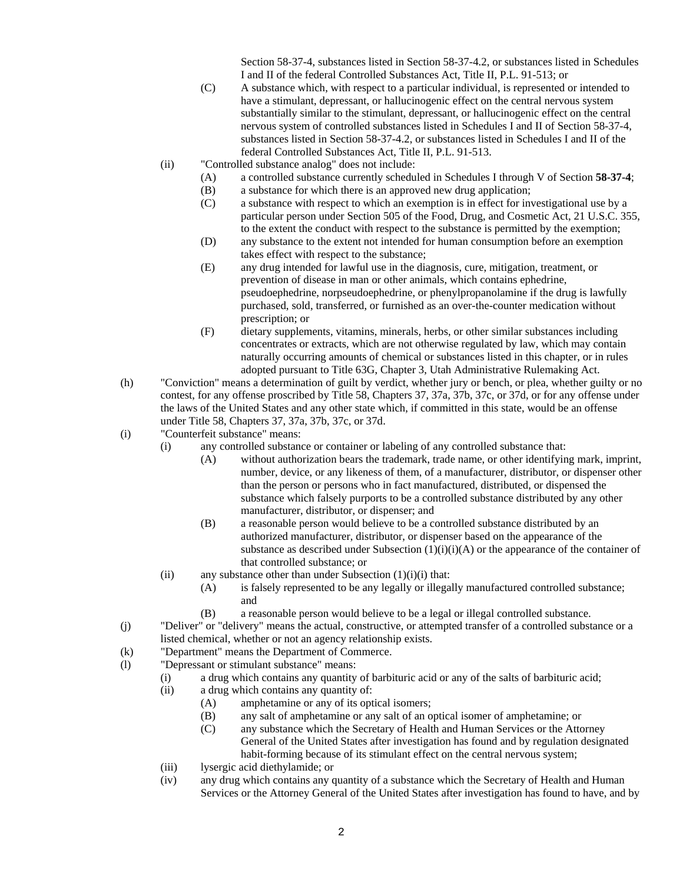Section 58-37-4, substances listed in Section 58-37-4.2, or substances listed in Schedules I and II of the federal Controlled Substances Act, Title II, P.L. 91-513; or

- (C) A substance which, with respect to a particular individual, is represented or intended to have a stimulant, depressant, or hallucinogenic effect on the central nervous system substantially similar to the stimulant, depressant, or hallucinogenic effect on the central nervous system of controlled substances listed in Schedules I and II of Section 58-37-4, substances listed in Section 58-37-4.2, or substances listed in Schedules I and II of the federal Controlled Substances Act, Title II, P.L. 91-513.
- (ii) "Controlled substance analog" does not include:
	- (A) a controlled substance currently scheduled in Schedules I through V of Section **58-37-4**;
	- (B) a substance for which there is an approved new drug application;
	- (C) a substance with respect to which an exemption is in effect for investigational use by a particular person under Section 505 of the Food, Drug, and Cosmetic Act, 21 U.S.C. 355, to the extent the conduct with respect to the substance is permitted by the exemption;
	- (D) any substance to the extent not intended for human consumption before an exemption takes effect with respect to the substance;
	- (E) any drug intended for lawful use in the diagnosis, cure, mitigation, treatment, or prevention of disease in man or other animals, which contains ephedrine, pseudoephedrine, norpseudoephedrine, or phenylpropanolamine if the drug is lawfully purchased, sold, transferred, or furnished as an over-the-counter medication without prescription; or
	- (F) dietary supplements, vitamins, minerals, herbs, or other similar substances including concentrates or extracts, which are not otherwise regulated by law, which may contain naturally occurring amounts of chemical or substances listed in this chapter, or in rules adopted pursuant to Title 63G, Chapter 3, Utah Administrative Rulemaking Act.
- (h) "Conviction" means a determination of guilt by verdict, whether jury or bench, or plea, whether guilty or no contest, for any offense proscribed by Title 58, Chapters 37, 37a, 37b, 37c, or 37d, or for any offense under the laws of the United States and any other state which, if committed in this state, would be an offense under Title 58, Chapters 37, 37a, 37b, 37c, or 37d.
- (i) "Counterfeit substance" means:
	- (i) any controlled substance or container or labeling of any controlled substance that:
		- (A) without authorization bears the trademark, trade name, or other identifying mark, imprint, number, device, or any likeness of them, of a manufacturer, distributor, or dispenser other than the person or persons who in fact manufactured, distributed, or dispensed the substance which falsely purports to be a controlled substance distributed by any other manufacturer, distributor, or dispenser; and
		- (B) a reasonable person would believe to be a controlled substance distributed by an authorized manufacturer, distributor, or dispenser based on the appearance of the substance as described under Subsection  $(1)(i)(i)(A)$  or the appearance of the container of that controlled substance; or
	- (ii) any substance other than under Subsection  $(1)(i)(i)$  that:
		- (A) is falsely represented to be any legally or illegally manufactured controlled substance; and
		- (B) a reasonable person would believe to be a legal or illegal controlled substance.
- (j) "Deliver" or "delivery" means the actual, constructive, or attempted transfer of a controlled substance or a listed chemical, whether or not an agency relationship exists.
- (k) "Department" means the Department of Commerce.
- (l) "Depressant or stimulant substance" means:
	- (i) a drug which contains any quantity of barbituric acid or any of the salts of barbituric acid;
	- (ii) a drug which contains any quantity of:
		- (A) amphetamine or any of its optical isomers;
		- (B) any salt of amphetamine or any salt of an optical isomer of amphetamine; or
		- (C) any substance which the Secretary of Health and Human Services or the Attorney General of the United States after investigation has found and by regulation designated habit-forming because of its stimulant effect on the central nervous system;
	- (iii) lysergic acid diethylamide; or
	- (iv) any drug which contains any quantity of a substance which the Secretary of Health and Human Services or the Attorney General of the United States after investigation has found to have, and by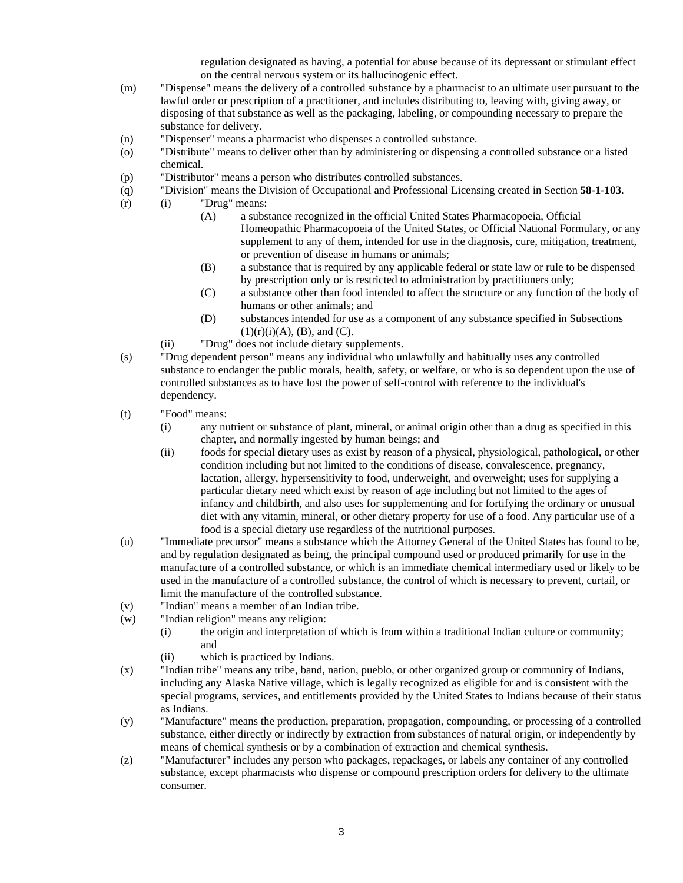regulation designated as having, a potential for abuse because of its depressant or stimulant effect on the central nervous system or its hallucinogenic effect.

- (m) "Dispense" means the delivery of a controlled substance by a pharmacist to an ultimate user pursuant to the lawful order or prescription of a practitioner, and includes distributing to, leaving with, giving away, or disposing of that substance as well as the packaging, labeling, or compounding necessary to prepare the substance for delivery.
- (n) "Dispenser" means a pharmacist who dispenses a controlled substance.
- (o) "Distribute" means to deliver other than by administering or dispensing a controlled substance or a listed chemical.
- (p) "Distributor" means a person who distributes controlled substances.
- (q) "Division" means the Division of Occupational and Professional Licensing created in Section **58-1-103**.
- (r) (i) "Drug" means:
	- (A) a substance recognized in the official United States Pharmacopoeia, Official Homeopathic Pharmacopoeia of the United States, or Official National Formulary, or any supplement to any of them, intended for use in the diagnosis, cure, mitigation, treatment, or prevention of disease in humans or animals;
	- (B) a substance that is required by any applicable federal or state law or rule to be dispensed by prescription only or is restricted to administration by practitioners only;
	- (C) a substance other than food intended to affect the structure or any function of the body of humans or other animals; and
	- (D) substances intended for use as a component of any substance specified in Subsections  $(1)(r)(i)(A)$ ,  $(B)$ , and  $(C)$ .
	- (ii) "Drug" does not include dietary supplements.
- (s) "Drug dependent person" means any individual who unlawfully and habitually uses any controlled substance to endanger the public morals, health, safety, or welfare, or who is so dependent upon the use of controlled substances as to have lost the power of self-control with reference to the individual's dependency.
- (t) "Food" means:
	- (i) any nutrient or substance of plant, mineral, or animal origin other than a drug as specified in this chapter, and normally ingested by human beings; and
	- (ii) foods for special dietary uses as exist by reason of a physical, physiological, pathological, or other condition including but not limited to the conditions of disease, convalescence, pregnancy, lactation, allergy, hypersensitivity to food, underweight, and overweight; uses for supplying a particular dietary need which exist by reason of age including but not limited to the ages of infancy and childbirth, and also uses for supplementing and for fortifying the ordinary or unusual diet with any vitamin, mineral, or other dietary property for use of a food. Any particular use of a food is a special dietary use regardless of the nutritional purposes.
- (u) "Immediate precursor" means a substance which the Attorney General of the United States has found to be, and by regulation designated as being, the principal compound used or produced primarily for use in the manufacture of a controlled substance, or which is an immediate chemical intermediary used or likely to be used in the manufacture of a controlled substance, the control of which is necessary to prevent, curtail, or limit the manufacture of the controlled substance.
- (v) "Indian" means a member of an Indian tribe.
- (w) "Indian religion" means any religion:
	- (i) the origin and interpretation of which is from within a traditional Indian culture or community; and
	- (ii) which is practiced by Indians.
- (x) "Indian tribe" means any tribe, band, nation, pueblo, or other organized group or community of Indians, including any Alaska Native village, which is legally recognized as eligible for and is consistent with the special programs, services, and entitlements provided by the United States to Indians because of their status as Indians.
- (y) "Manufacture" means the production, preparation, propagation, compounding, or processing of a controlled substance, either directly or indirectly by extraction from substances of natural origin, or independently by means of chemical synthesis or by a combination of extraction and chemical synthesis.
- (z) "Manufacturer" includes any person who packages, repackages, or labels any container of any controlled substance, except pharmacists who dispense or compound prescription orders for delivery to the ultimate consumer.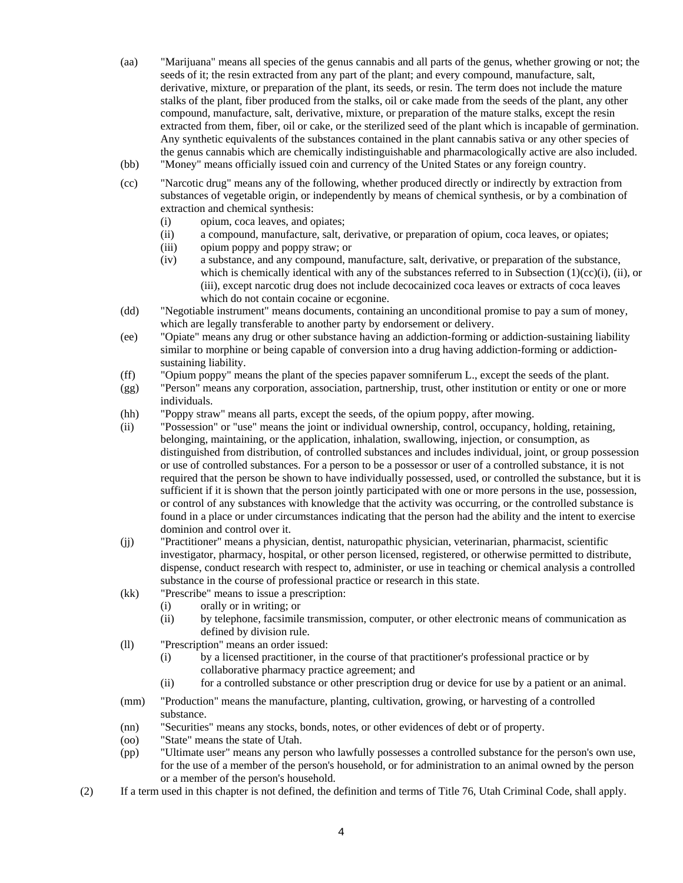- (aa) "Marijuana" means all species of the genus cannabis and all parts of the genus, whether growing or not; the seeds of it; the resin extracted from any part of the plant; and every compound, manufacture, salt, derivative, mixture, or preparation of the plant, its seeds, or resin. The term does not include the mature stalks of the plant, fiber produced from the stalks, oil or cake made from the seeds of the plant, any other compound, manufacture, salt, derivative, mixture, or preparation of the mature stalks, except the resin extracted from them, fiber, oil or cake, or the sterilized seed of the plant which is incapable of germination. Any synthetic equivalents of the substances contained in the plant cannabis sativa or any other species of the genus cannabis which are chemically indistinguishable and pharmacologically active are also included.
- (bb) "Money" means officially issued coin and currency of the United States or any foreign country.
- (cc) "Narcotic drug" means any of the following, whether produced directly or indirectly by extraction from substances of vegetable origin, or independently by means of chemical synthesis, or by a combination of extraction and chemical synthesis:
	- (i) opium, coca leaves, and opiates;
	- (ii) a compound, manufacture, salt, derivative, or preparation of opium, coca leaves, or opiates;
	- (iii) opium poppy and poppy straw; or
	- (iv) a substance, and any compound, manufacture, salt, derivative, or preparation of the substance, which is chemically identical with any of the substances referred to in Subsection  $(1)(cc)(i)$ , (ii), or (iii), except narcotic drug does not include decocainized coca leaves or extracts of coca leaves which do not contain cocaine or ecgonine.
- (dd) "Negotiable instrument" means documents, containing an unconditional promise to pay a sum of money, which are legally transferable to another party by endorsement or delivery.
- (ee) "Opiate" means any drug or other substance having an addiction-forming or addiction-sustaining liability similar to morphine or being capable of conversion into a drug having addiction-forming or addictionsustaining liability.
- (ff) "Opium poppy" means the plant of the species papaver somniferum L., except the seeds of the plant.
- (gg) "Person" means any corporation, association, partnership, trust, other institution or entity or one or more individuals.
- (hh) "Poppy straw" means all parts, except the seeds, of the opium poppy, after mowing.
- (ii) "Possession" or "use" means the joint or individual ownership, control, occupancy, holding, retaining, belonging, maintaining, or the application, inhalation, swallowing, injection, or consumption, as distinguished from distribution, of controlled substances and includes individual, joint, or group possession or use of controlled substances. For a person to be a possessor or user of a controlled substance, it is not required that the person be shown to have individually possessed, used, or controlled the substance, but it is sufficient if it is shown that the person jointly participated with one or more persons in the use, possession, or control of any substances with knowledge that the activity was occurring, or the controlled substance is found in a place or under circumstances indicating that the person had the ability and the intent to exercise dominion and control over it.
- (jj) "Practitioner" means a physician, dentist, naturopathic physician, veterinarian, pharmacist, scientific investigator, pharmacy, hospital, or other person licensed, registered, or otherwise permitted to distribute, dispense, conduct research with respect to, administer, or use in teaching or chemical analysis a controlled substance in the course of professional practice or research in this state.
- (kk) "Prescribe" means to issue a prescription:
	- (i) orally or in writing; or
	- (ii) by telephone, facsimile transmission, computer, or other electronic means of communication as defined by division rule.
- (ll) "Prescription" means an order issued:
	- (i) by a licensed practitioner, in the course of that practitioner's professional practice or by collaborative pharmacy practice agreement; and
	- (ii) for a controlled substance or other prescription drug or device for use by a patient or an animal.
- (mm) "Production" means the manufacture, planting, cultivation, growing, or harvesting of a controlled substance.
- (nn) "Securities" means any stocks, bonds, notes, or other evidences of debt or of property.
- (oo) "State" means the state of Utah.
- (pp) "Ultimate user" means any person who lawfully possesses a controlled substance for the person's own use, for the use of a member of the person's household, or for administration to an animal owned by the person or a member of the person's household.
- (2) If a term used in this chapter is not defined, the definition and terms of Title 76, Utah Criminal Code, shall apply.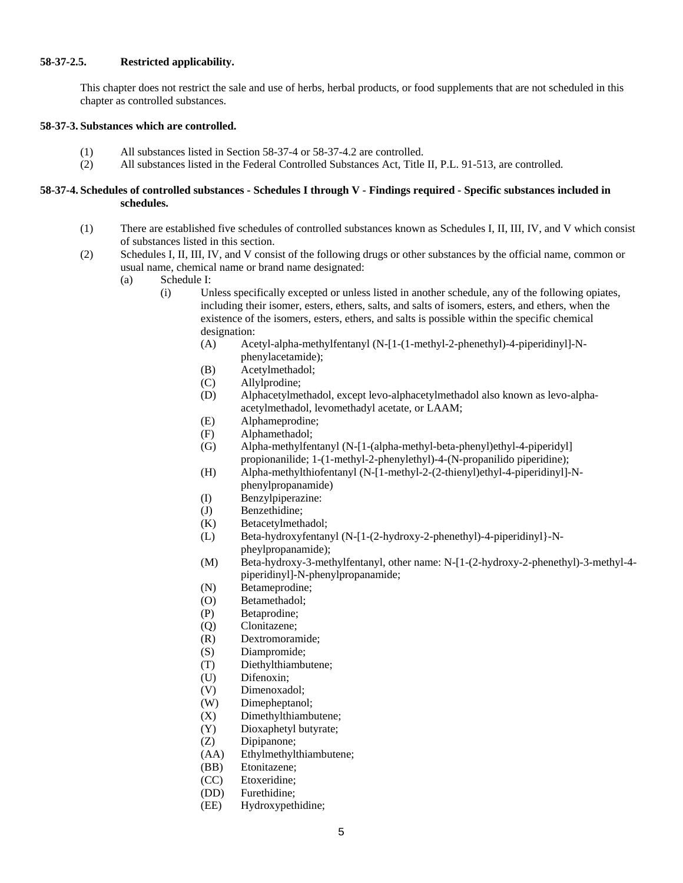# **58-37-2.5. Restricted applicability.**

This chapter does not restrict the sale and use of herbs, herbal products, or food supplements that are not scheduled in this chapter as controlled substances.

#### **58-37-3. Substances which are controlled.**

- (1) All substances listed in Section 58-37-4 or 58-37-4.2 are controlled.
- (2) All substances listed in the Federal Controlled Substances Act, Title II, P.L. 91-513, are controlled.

#### **58-37-4. Schedules of controlled substances - Schedules I through V - Findings required - Specific substances included in schedules.**

- (1) There are established five schedules of controlled substances known as Schedules I, II, III, IV, and V which consist of substances listed in this section.
- (2) Schedules I, II, III, IV, and V consist of the following drugs or other substances by the official name, common or usual name, chemical name or brand name designated:
	- (a) Schedule I:
		- (i) Unless specifically excepted or unless listed in another schedule, any of the following opiates, including their isomer, esters, ethers, salts, and salts of isomers, esters, and ethers, when the existence of the isomers, esters, ethers, and salts is possible within the specific chemical designation:
			- (A) Acetyl-alpha-methylfentanyl (N-[1-(1-methyl-2-phenethyl)-4-piperidinyl]-Nphenylacetamide);
			- (B) Acetylmethadol;
			- (C) Allylprodine;
			- (D) Alphacetylmethadol, except levo-alphacetylmethadol also known as levo-alphaacetylmethadol, levomethadyl acetate, or LAAM;
			- (E) Alphameprodine;
			- (F) Alphamethadol;
			- (G) Alpha-methylfentanyl (N-[1-(alpha-methyl-beta-phenyl)ethyl-4-piperidyl] propionanilide; 1-(1-methyl-2-phenylethyl)-4-(N-propanilido piperidine);
			- (H) Alpha-methylthiofentanyl (N-[1-methyl-2-(2-thienyl)ethyl-4-piperidinyl]-Nphenylpropanamide)
			- (I) Benzylpiperazine:
			- (J) Benzethidine;
			- (K) Betacetylmethadol;
			- (L) Beta-hydroxyfentanyl (N-[1-(2-hydroxy-2-phenethyl)-4-piperidinyl}-Npheylpropanamide);
			- (M) Beta-hydroxy-3-methylfentanyl, other name: N-[1-(2-hydroxy-2-phenethyl)-3-methyl-4 piperidinyl]-N-phenylpropanamide;
			- (N) Betameprodine;
			- (O) Betamethadol;
			- (P) Betaprodine;
			- (Q) Clonitazene;
			- (R) Dextromoramide;
			- (S) Diampromide;
			- (T) Diethylthiambutene;
			- (U) Difenoxin;
			- (V) Dimenoxadol;
			- (W) Dimepheptanol;
			- (X) Dimethylthiambutene;
			- (Y) Dioxaphetyl butyrate;
			- (Z) Dipipanone;
			- (AA) Ethylmethylthiambutene;
			- (BB) Etonitazene;
			- (CC) Etoxeridine;
			- (DD) Furethidine;
			- (EE) Hydroxypethidine;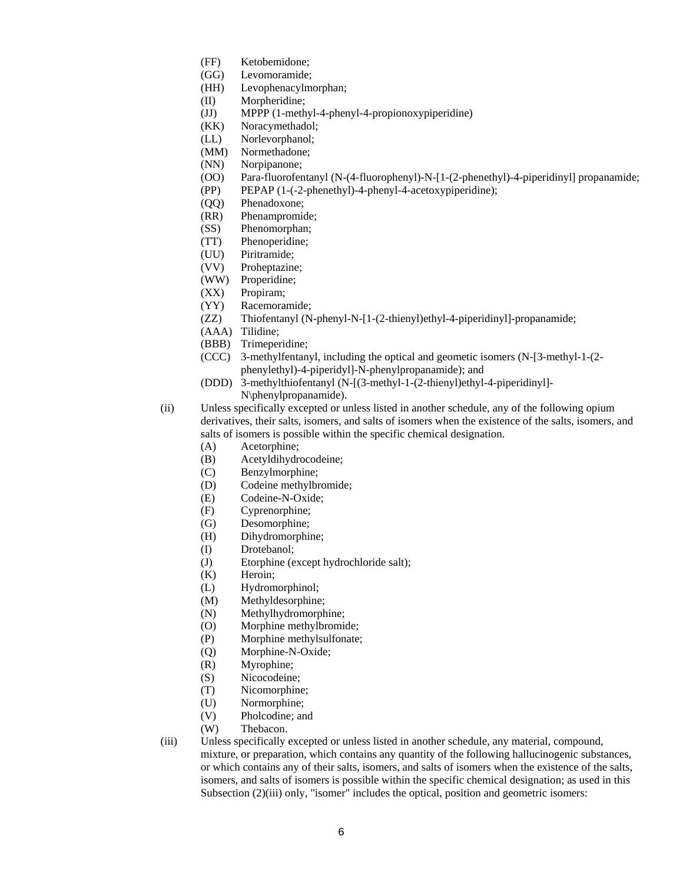- (FF) Ketobemidone;
- (GG) Levomoramide;
- (HH) Levophenacylmorphan;
- (II) Morpheridine;
- (JJ) MPPP (1-methyl-4-phenyl-4-propionoxypiperidine)
- (KK) Noracymethadol;
- (LL) Norlevorphanol;
- (MM) Normethadone;
- (NN) Norpipanone;
- (OO) Para-fluorofentanyl (N-(4-fluorophenyl)-N-[1-(2-phenethyl)-4-piperidinyl] propanamide;
- (PP) PEPAP (1-(-2-phenethyl)-4-phenyl-4-acetoxypiperidine);
- (QQ) Phenadoxone;
- (RR) Phenampromide;
- (SS) Phenomorphan;
- (TT) Phenoperidine;
- (UU) Piritramide;
- (VV) Proheptazine;
- (WW) Properidine;
- (XX) Propiram;
- (YY) Racemoramide;
- (ZZ) Thiofentanyl (N-phenyl-N-[1-(2-thienyl)ethyl-4-piperidinyl]-propanamide;
- (AAA) Tilidine;
- (BBB) Trimeperidine;
- (CCC) 3-methylfentanyl, including the optical and geometic isomers (N-[3-methyl-1-(2 phenylethyl)-4-piperidyl]-N-phenylpropanamide); and
- (DDD) 3-methylthiofentanyl (N-[(3-methyl-1-(2-thienyl)ethyl-4-piperidinyl]- N\phenylpropanamide).
- (ii) Unless specifically excepted or unless listed in another schedule, any of the following opium derivatives, their salts, isomers, and salts of isomers when the existence of the salts, isomers, and salts of isomers is possible within the specific chemical designation.
	- (A) Acetorphine;
	- (B) Acetyldihydrocodeine;
	- (C) Benzylmorphine;
	- (D) Codeine methylbromide;
	- (E) Codeine-N-Oxide;
	- (F) Cyprenorphine;
	- (G) Desomorphine;
	- (H) Dihydromorphine;
	- (I) Drotebanol;
	- (J) Etorphine (except hydrochloride salt);
	- (K) Heroin;
	- (L) Hydromorphinol;
	- (M) Methyldesorphine;
	- (N) Methylhydromorphine;
	- (O) Morphine methylbromide;
	- (P) Morphine methylsulfonate;
	- (Q) Morphine-N-Oxide;
	- (R) Myrophine;
	- (S) Nicocodeine;
	- (T) Nicomorphine;
	- (U) Normorphine;
	- (V) Pholcodine; and
	- (W) Thebacon.
- (iii) Unless specifically excepted or unless listed in another schedule, any material, compound, mixture, or preparation, which contains any quantity of the following hallucinogenic substances, or which contains any of their salts, isomers, and salts of isomers when the existence of the salts, isomers, and salts of isomers is possible within the specific chemical designation; as used in this Subsection (2)(iii) only, "isomer" includes the optical, position and geometric isomers: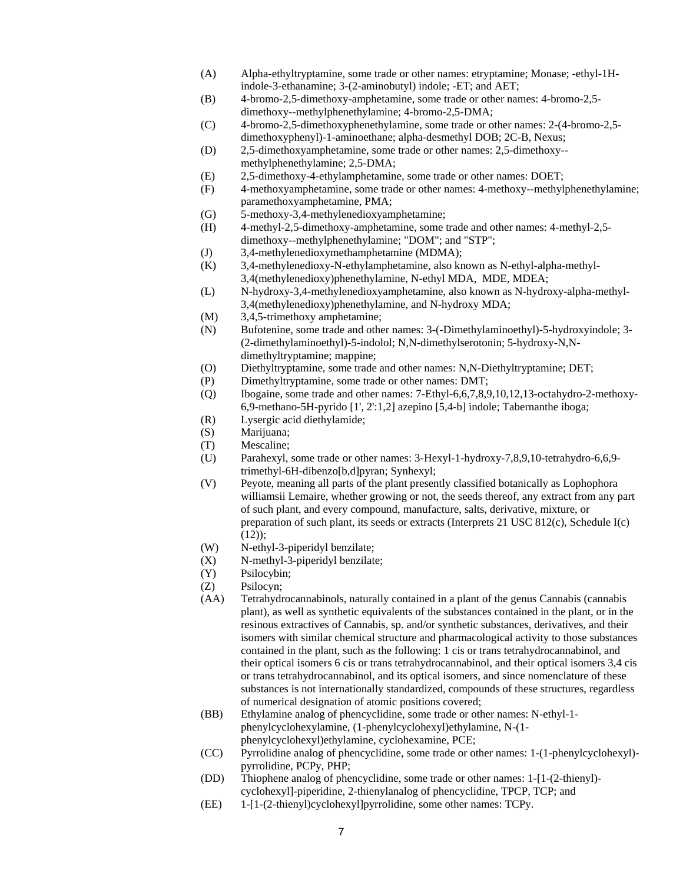- (A) Alpha-ethyltryptamine, some trade or other names: etryptamine; Monase; -ethyl-1Hindole-3-ethanamine; 3-(2-aminobutyl) indole; -ET; and AET;
- (B) 4-bromo-2,5-dimethoxy-amphetamine, some trade or other names: 4-bromo-2,5 dimethoxy--methylphenethylamine; 4-bromo-2,5-DMA;
- (C) 4-bromo-2,5-dimethoxyphenethylamine, some trade or other names: 2-(4-bromo-2,5 dimethoxyphenyl)-1-aminoethane; alpha-desmethyl DOB; 2C-B, Nexus;
- (D) 2,5-dimethoxyamphetamine, some trade or other names: 2,5-dimethoxy- methylphenethylamine; 2,5-DMA;
- (E) 2,5-dimethoxy-4-ethylamphetamine, some trade or other names: DOET;
- (F) 4-methoxyamphetamine, some trade or other names: 4-methoxy--methylphenethylamine; paramethoxyamphetamine, PMA;
- (G) 5-methoxy-3,4-methylenedioxyamphetamine;
- (H) 4-methyl-2,5-dimethoxy-amphetamine, some trade and other names: 4-methyl-2,5 dimethoxy--methylphenethylamine; "DOM"; and "STP";
- (J) 3,4-methylenedioxymethamphetamine (MDMA);
- (K) 3,4-methylenedioxy-N-ethylamphetamine, also known as N-ethyl-alpha-methyl-3,4(methylenedioxy)phenethylamine, N-ethyl MDA, MDE, MDEA;
- (L) N-hydroxy-3,4-methylenedioxyamphetamine, also known as N-hydroxy-alpha-methyl-3,4(methylenedioxy)phenethylamine, and N-hydroxy MDA;
- (M) 3,4,5-trimethoxy amphetamine;
- (N) Bufotenine, some trade and other names: 3-(-Dimethylaminoethyl)-5-hydroxyindole; 3- (2-dimethylaminoethyl)-5-indolol; N,N-dimethylserotonin; 5-hydroxy-N,Ndimethyltryptamine; mappine;
- (O) Diethyltryptamine, some trade and other names: N,N-Diethyltryptamine; DET;
- (P) Dimethyltryptamine, some trade or other names: DMT;
- (Q) Ibogaine, some trade and other names: 7-Ethyl-6,6,7,8,9,10,12,13-octahydro-2-methoxy-6,9-methano-5H-pyrido [1', 2':1,2] azepino [5,4-b] indole; Tabernanthe iboga;
- (R) Lysergic acid diethylamide;
- (S) Marijuana;
- (T) Mescaline;
- (U) Parahexyl, some trade or other names: 3-Hexyl-1-hydroxy-7,8,9,10-tetrahydro-6,6,9 trimethyl-6H-dibenzo[b,d]pyran; Synhexyl;
- (V) Peyote, meaning all parts of the plant presently classified botanically as Lophophora williamsii Lemaire, whether growing or not, the seeds thereof, any extract from any part of such plant, and every compound, manufacture, salts, derivative, mixture, or preparation of such plant, its seeds or extracts (Interprets 21 USC 812(c), Schedule I(c)  $(12)$ ;
- (W) N-ethyl-3-piperidyl benzilate;
- (X) N-methyl-3-piperidyl benzilate;
- (Y) Psilocybin;
- (Z) Psilocyn;
- (AA) Tetrahydrocannabinols, naturally contained in a plant of the genus Cannabis (cannabis plant), as well as synthetic equivalents of the substances contained in the plant, or in the resinous extractives of Cannabis, sp. and/or synthetic substances, derivatives, and their isomers with similar chemical structure and pharmacological activity to those substances contained in the plant, such as the following: 1 cis or trans tetrahydrocannabinol, and their optical isomers 6 cis or trans tetrahydrocannabinol, and their optical isomers 3,4 cis or trans tetrahydrocannabinol, and its optical isomers, and since nomenclature of these substances is not internationally standardized, compounds of these structures, regardless of numerical designation of atomic positions covered;
- (BB) Ethylamine analog of phencyclidine, some trade or other names: N-ethyl-1 phenylcyclohexylamine, (1-phenylcyclohexyl)ethylamine, N-(1 phenylcyclohexyl)ethylamine, cyclohexamine, PCE;
- (CC) Pyrrolidine analog of phencyclidine, some trade or other names: 1-(1-phenylcyclohexyl) pyrrolidine, PCPy, PHP;
- (DD) Thiophene analog of phencyclidine, some trade or other names: 1-[1-(2-thienyl) cyclohexyl]-piperidine, 2-thienylanalog of phencyclidine, TPCP, TCP; and
- (EE) 1-[1-(2-thienyl)cyclohexyl]pyrrolidine, some other names: TCPy.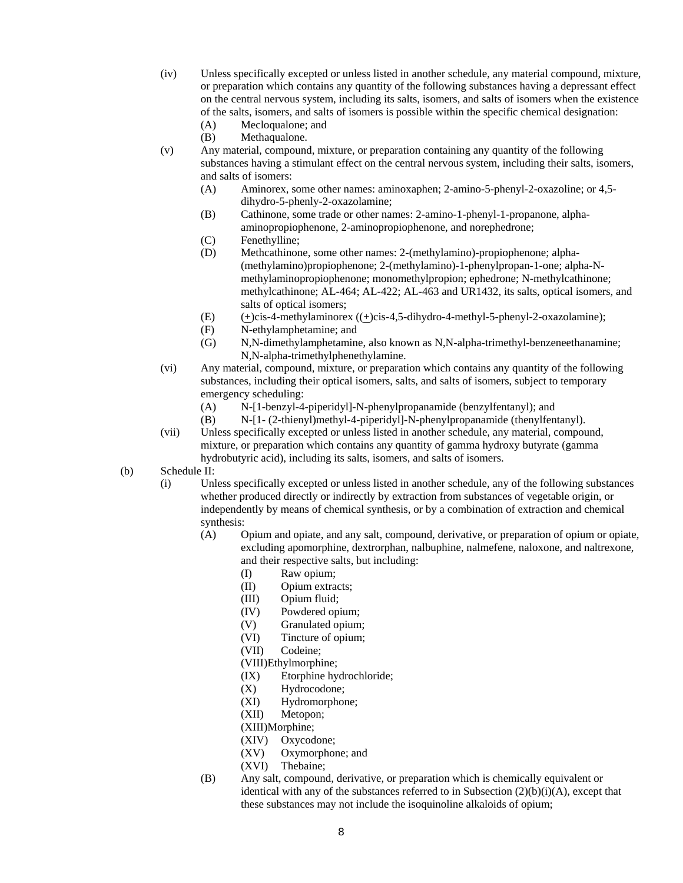- (iv) Unless specifically excepted or unless listed in another schedule, any material compound, mixture, or preparation which contains any quantity of the following substances having a depressant effect on the central nervous system, including its salts, isomers, and salts of isomers when the existence of the salts, isomers, and salts of isomers is possible within the specific chemical designation:
	- (A) Mecloqualone; and
	- (B) Methaqualone.
- (v) Any material, compound, mixture, or preparation containing any quantity of the following substances having a stimulant effect on the central nervous system, including their salts, isomers, and salts of isomers:
	- (A) Aminorex, some other names: aminoxaphen; 2-amino-5-phenyl-2-oxazoline; or 4,5 dihydro-5-phenly-2-oxazolamine;
	- (B) Cathinone, some trade or other names: 2-amino-1-phenyl-1-propanone, alphaaminopropiophenone, 2-aminopropiophenone, and norephedrone;
	- (C) Fenethylline;
	- (D) Methcathinone, some other names: 2-(methylamino)-propiophenone; alpha- (methylamino)propiophenone; 2-(methylamino)-1-phenylpropan-1-one; alpha-Nmethylaminopropiophenone; monomethylpropion; ephedrone; N-methylcathinone; methylcathinone; AL-464; AL-422; AL-463 and UR1432, its salts, optical isomers, and salts of optical isomers;
	- (E) (+)cis-4-methylaminorex ((+)cis-4,5-dihydro-4-methyl-5-phenyl-2-oxazolamine);
	- (F) N-ethylamphetamine; and
	- (G) N,N-dimethylamphetamine, also known as N,N-alpha-trimethyl-benzeneethanamine; N,N-alpha-trimethylphenethylamine.
- (vi) Any material, compound, mixture, or preparation which contains any quantity of the following substances, including their optical isomers, salts, and salts of isomers, subject to temporary emergency scheduling:
	- (A) N-[1-benzyl-4-piperidyl]-N-phenylpropanamide (benzylfentanyl); and
	- (B) N-[1- (2-thienyl)methyl-4-piperidyl]-N-phenylpropanamide (thenylfentanyl).
- (vii) Unless specifically excepted or unless listed in another schedule, any material, compound, mixture, or preparation which contains any quantity of gamma hydroxy butyrate (gamma hydrobutyric acid), including its salts, isomers, and salts of isomers.
- (b) Schedule II:
	- (i) Unless specifically excepted or unless listed in another schedule, any of the following substances whether produced directly or indirectly by extraction from substances of vegetable origin, or independently by means of chemical synthesis, or by a combination of extraction and chemical synthesis:
		- (A) Opium and opiate, and any salt, compound, derivative, or preparation of opium or opiate, excluding apomorphine, dextrorphan, nalbuphine, nalmefene, naloxone, and naltrexone, and their respective salts, but including:
			- (I) Raw opium;
			- (II) Opium extracts;
			- (III) Opium fluid;
			- (IV) Powdered opium;
			- (V) Granulated opium;
			- (VI) Tincture of opium;
			- (VII) Codeine;
			- (VIII)Ethylmorphine;
			- (IX) Etorphine hydrochloride;
			- (X) Hydrocodone;
			- (XI) Hydromorphone;
			- (XII) Metopon;
			- (XIII)Morphine;
			- (XIV) Oxycodone;
			- (XV) Oxymorphone; and
			- (XVI) Thebaine;
		- (B) Any salt, compound, derivative, or preparation which is chemically equivalent or identical with any of the substances referred to in Subsection  $(2)(b)(i)(A)$ , except that these substances may not include the isoquinoline alkaloids of opium;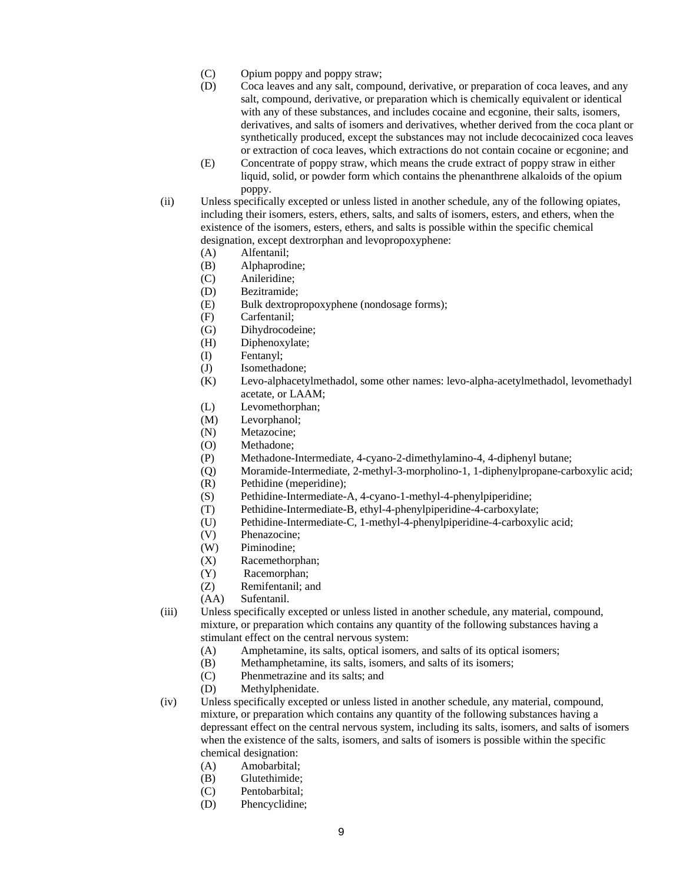- (C) Opium poppy and poppy straw;
- (D) Coca leaves and any salt, compound, derivative, or preparation of coca leaves, and any salt, compound, derivative, or preparation which is chemically equivalent or identical with any of these substances, and includes cocaine and ecgonine, their salts, isomers, derivatives, and salts of isomers and derivatives, whether derived from the coca plant or synthetically produced, except the substances may not include decocainized coca leaves or extraction of coca leaves, which extractions do not contain cocaine or ecgonine; and
- (E) Concentrate of poppy straw, which means the crude extract of poppy straw in either liquid, solid, or powder form which contains the phenanthrene alkaloids of the opium poppy.
- (ii) Unless specifically excepted or unless listed in another schedule, any of the following opiates, including their isomers, esters, ethers, salts, and salts of isomers, esters, and ethers, when the existence of the isomers, esters, ethers, and salts is possible within the specific chemical designation, except dextrorphan and levopropoxyphene:
	- (A) Alfentanil;
	- (B) Alphaprodine;
	- (C) Anileridine;
	- (D) Bezitramide;
	- (E) Bulk dextropropoxyphene (nondosage forms);
	- (F) Carfentanil;
	- (G) Dihydrocodeine;
	- (H) Diphenoxylate;
	- (I) Fentanyl;
	- (J) Isomethadone;
	- (K) Levo-alphacetylmethadol, some other names: levo-alpha-acetylmethadol, levomethadyl acetate, or LAAM;
	- (L) Levomethorphan;
	- (M) Levorphanol;
	- (N) Metazocine;
	- (O) Methadone;
	- (P) Methadone-Intermediate, 4-cyano-2-dimethylamino-4, 4-diphenyl butane;
	- (Q) Moramide-Intermediate, 2-methyl-3-morpholino-1, 1-diphenylpropane-carboxylic acid;
	- (R) Pethidine (meperidine);
	- (S) Pethidine-Intermediate-A, 4-cyano-1-methyl-4-phenylpiperidine;
	- (T) Pethidine-Intermediate-B, ethyl-4-phenylpiperidine-4-carboxylate;
	- (U) Pethidine-Intermediate-C, 1-methyl-4-phenylpiperidine-4-carboxylic acid;
	- (V) Phenazocine;
	- (W) Piminodine;
	- (X) Racemethorphan;
	- (Y) Racemorphan;
	- (Z) Remifentanil; and
	- (AA) Sufentanil.
- (iii) Unless specifically excepted or unless listed in another schedule, any material, compound, mixture, or preparation which contains any quantity of the following substances having a stimulant effect on the central nervous system:
	- (A) Amphetamine, its salts, optical isomers, and salts of its optical isomers;
	- (B) Methamphetamine, its salts, isomers, and salts of its isomers;
	- (C) Phenmetrazine and its salts; and
	- (D) Methylphenidate.
- (iv) Unless specifically excepted or unless listed in another schedule, any material, compound, mixture, or preparation which contains any quantity of the following substances having a depressant effect on the central nervous system, including its salts, isomers, and salts of isomers when the existence of the salts, isomers, and salts of isomers is possible within the specific chemical designation:
	- (A) Amobarbital;
	- (B) Glutethimide;
	- (C) Pentobarbital;
	- (D) Phencyclidine;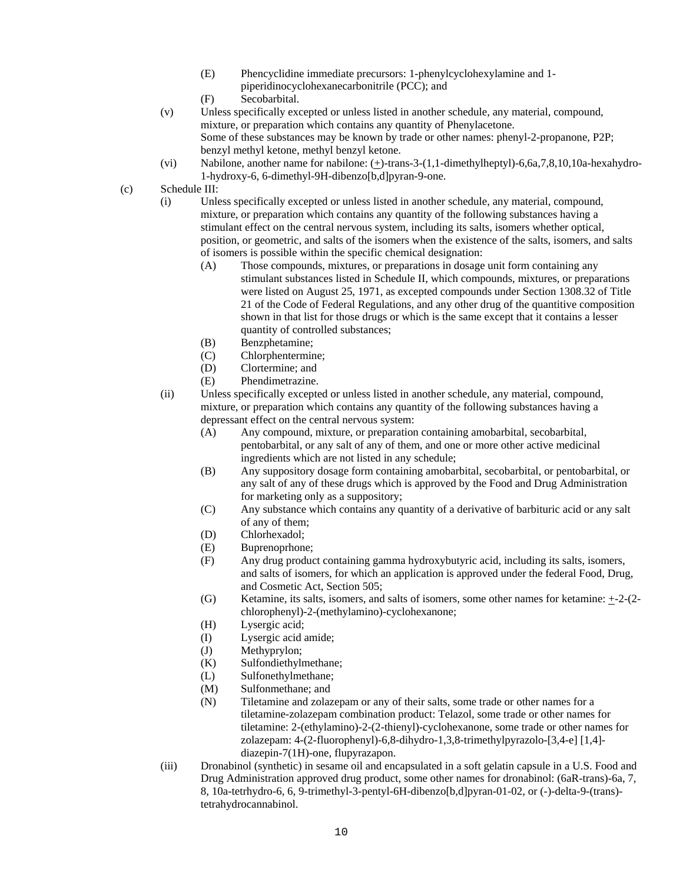- (E) Phencyclidine immediate precursors: 1-phenylcyclohexylamine and 1 piperidinocyclohexanecarbonitrile (PCC); and
- (F) Secobarbital.
- (v) Unless specifically excepted or unless listed in another schedule, any material, compound, mixture, or preparation which contains any quantity of Phenylacetone. Some of these substances may be known by trade or other names: phenyl-2-propanone, P2P; benzyl methyl ketone, methyl benzyl ketone.
- (vi) Nabilone, another name for nabilone: (+)-trans-3-(1,1-dimethylheptyl)-6,6a,7,8,10,10a-hexahydro-1-hydroxy-6, 6-dimethyl-9H-dibenzo[b,d]pyran-9-one.
- (c) Schedule III:
	- (i) Unless specifically excepted or unless listed in another schedule, any material, compound, mixture, or preparation which contains any quantity of the following substances having a stimulant effect on the central nervous system, including its salts, isomers whether optical, position, or geometric, and salts of the isomers when the existence of the salts, isomers, and salts of isomers is possible within the specific chemical designation:
		- (A) Those compounds, mixtures, or preparations in dosage unit form containing any stimulant substances listed in Schedule II, which compounds, mixtures, or preparations were listed on August 25, 1971, as excepted compounds under Section 1308.32 of Title 21 of the Code of Federal Regulations, and any other drug of the quantitive composition shown in that list for those drugs or which is the same except that it contains a lesser quantity of controlled substances;
		- (B) Benzphetamine;
		- (C) Chlorphentermine;
		- (D) Clortermine; and
		- (E) Phendimetrazine.
	- (ii) Unless specifically excepted or unless listed in another schedule, any material, compound, mixture, or preparation which contains any quantity of the following substances having a depressant effect on the central nervous system:
		- (A) Any compound, mixture, or preparation containing amobarbital, secobarbital, pentobarbital, or any salt of any of them, and one or more other active medicinal ingredients which are not listed in any schedule;
		- (B) Any suppository dosage form containing amobarbital, secobarbital, or pentobarbital, or any salt of any of these drugs which is approved by the Food and Drug Administration for marketing only as a suppository;
		- (C) Any substance which contains any quantity of a derivative of barbituric acid or any salt of any of them;
		- (D) Chlorhexadol;
		- (E) Buprenoprhone;
		- (F) Any drug product containing gamma hydroxybutyric acid, including its salts, isomers, and salts of isomers, for which an application is approved under the federal Food, Drug, and Cosmetic Act, Section 505;
		- (G) Ketamine, its salts, isomers, and salts of isomers, some other names for ketamine:  $\pm$ -2-(2chlorophenyl)-2-(methylamino)-cyclohexanone;
		- (H) Lysergic acid;
		- (I) Lysergic acid amide;
		- (J) Methyprylon;
		- (K) Sulfondiethylmethane;
		- (L) Sulfonethylmethane;
		- (M) Sulfonmethane; and
		- (N) Tiletamine and zolazepam or any of their salts, some trade or other names for a tiletamine-zolazepam combination product: Telazol, some trade or other names for tiletamine: 2-(ethylamino)-2-(2-thienyl)-cyclohexanone, some trade or other names for zolazepam: 4-(2-fluorophenyl)-6,8-dihydro-1,3,8-trimethylpyrazolo-[3,4-e] [1,4] diazepin-7(1H)-one, flupyrazapon.
	- (iii) Dronabinol (synthetic) in sesame oil and encapsulated in a soft gelatin capsule in a U.S. Food and Drug Administration approved drug product, some other names for dronabinol: (6aR-trans)-6a, 7, 8, 10a-tetrhydro-6, 6, 9-trimethyl-3-pentyl-6H-dibenzo[b,d]pyran-01-02, or (-)-delta-9-(trans) tetrahydrocannabinol.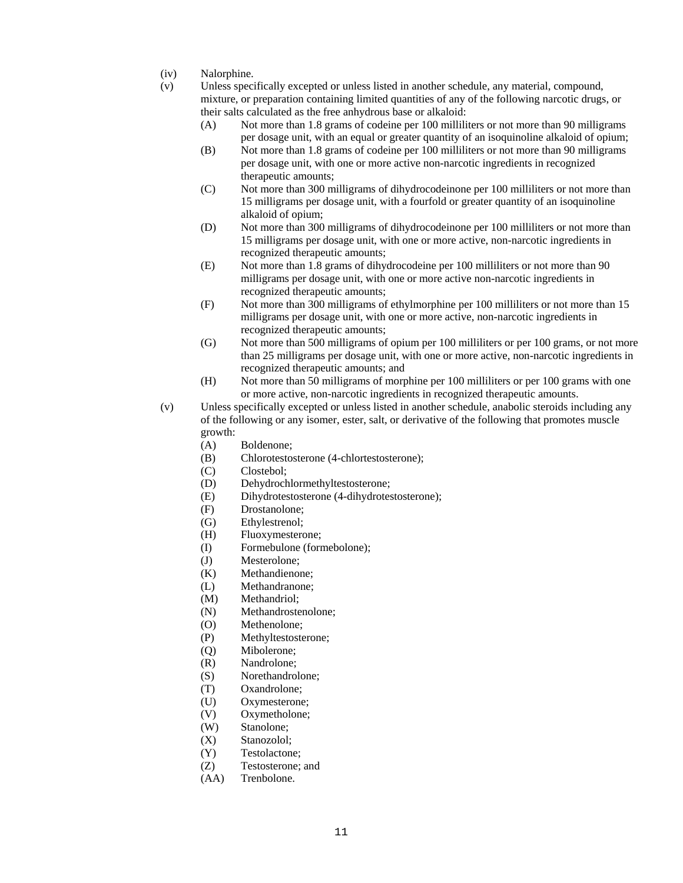- (iv) Nalorphine.
- (v) Unless specifically excepted or unless listed in another schedule, any material, compound, mixture, or preparation containing limited quantities of any of the following narcotic drugs, or their salts calculated as the free anhydrous base or alkaloid:
	- (A) Not more than 1.8 grams of codeine per 100 milliliters or not more than 90 milligrams per dosage unit, with an equal or greater quantity of an isoquinoline alkaloid of opium;
	- (B) Not more than 1.8 grams of codeine per 100 milliliters or not more than 90 milligrams per dosage unit, with one or more active non-narcotic ingredients in recognized therapeutic amounts;
	- (C) Not more than 300 milligrams of dihydrocodeinone per 100 milliliters or not more than 15 milligrams per dosage unit, with a fourfold or greater quantity of an isoquinoline alkaloid of opium;
	- (D) Not more than 300 milligrams of dihydrocodeinone per 100 milliliters or not more than 15 milligrams per dosage unit, with one or more active, non-narcotic ingredients in recognized therapeutic amounts;
	- (E) Not more than 1.8 grams of dihydrocodeine per 100 milliliters or not more than 90 milligrams per dosage unit, with one or more active non-narcotic ingredients in recognized therapeutic amounts;
	- (F) Not more than 300 milligrams of ethylmorphine per 100 milliliters or not more than 15 milligrams per dosage unit, with one or more active, non-narcotic ingredients in recognized therapeutic amounts;
	- (G) Not more than 500 milligrams of opium per 100 milliliters or per 100 grams, or not more than 25 milligrams per dosage unit, with one or more active, non-narcotic ingredients in recognized therapeutic amounts; and
	- (H) Not more than 50 milligrams of morphine per 100 milliliters or per 100 grams with one or more active, non-narcotic ingredients in recognized therapeutic amounts.
- (v) Unless specifically excepted or unless listed in another schedule, anabolic steroids including any of the following or any isomer, ester, salt, or derivative of the following that promotes muscle growth:
	- (A) Boldenone;
	- (B) Chlorotestosterone (4-chlortestosterone);
	- (C) Clostebol;
	- (D) Dehydrochlormethyltestosterone;
	- (E) Dihydrotestosterone (4-dihydrotestosterone);
	- (F) Drostanolone;
	- (G) Ethylestrenol;
	- (H) Fluoxymesterone;
	- (I) Formebulone (formebolone);
	- (J) Mesterolone;
	- (K) Methandienone;
	- (L) Methandranone;
	- (M) Methandriol;
	- (N) Methandrostenolone;
	- (O) Methenolone;
	- (P) Methyltestosterone;
	- (Q) Mibolerone;
	- (R) Nandrolone;
	- (S) Norethandrolone;
	- (T) Oxandrolone;
	- (U) Oxymesterone;
	- (V) Oxymetholone;
	- (W) Stanolone;
	- (X) Stanozolol;
	- (Y) Testolactone;
	- (Z) Testosterone; and
	- (AA) Trenbolone.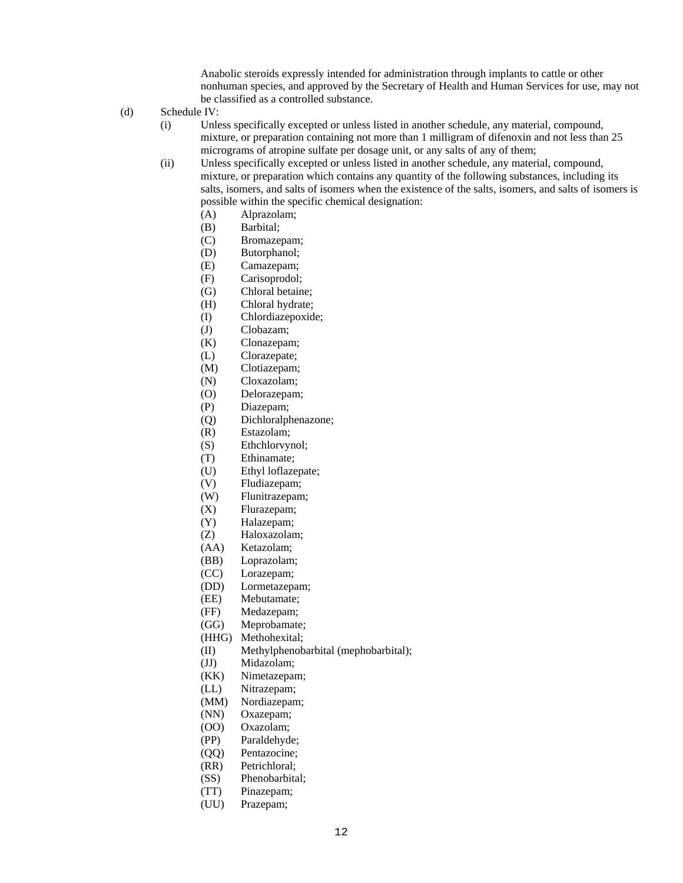Anabolic steroids expressly intended for administration through implants to cattle or other nonhuman species, and approved by the Secretary of Health and Human Services for use, may not be classified as a controlled substance.

- (d) Schedule IV:
	- (i) Unless specifically excepted or unless listed in another schedule, any material, compound, mixture, or preparation containing not more than 1 milligram of difenoxin and not less than 25 micrograms of atropine sulfate per dosage unit, or any salts of any of them;
	- (ii) Unless specifically excepted or unless listed in another schedule, any material, compound, mixture, or preparation which contains any quantity of the following substances, including its salts, isomers, and salts of isomers when the existence of the salts, isomers, and salts of isomers is possible within the specific chemical designation:
		- (A) Alprazolam;
		- (B) Barbital;
		- (C) Bromazepam;
		- (D) Butorphanol;
		- (E) Camazepam;
		- (F) Carisoprodol;
		- (G) Chloral betaine;
		- (H) Chloral hydrate;
		- (I) Chlordiazepoxide;
		- (J) Clobazam;
		- (K) Clonazepam;
		- (L) Clorazepate;
		- (M) Clotiazepam;
		- (N) Cloxazolam;
		- (O) Delorazepam;
		- (P) Diazepam;
		- (Q) Dichloralphenazone;
		- (R) Estazolam;
		- (S) Ethchlorvynol;
		- (T) Ethinamate;
		- (U) Ethyl loflazepate;
		- (V) Fludiazepam;
		- (W) Flunitrazepam;
		- (X) Flurazepam;
		- (Y) Halazepam;
		- (Z) Haloxazolam;
		- (AA) Ketazolam;
		- (BB) Loprazolam;
		- (CC) Lorazepam;
		- (DD) Lormetazepam;
		- (EE) Mebutamate;
		- (FF) Medazepam;
		- (GG) Meprobamate;
		- (HHG) Methohexital;
		- (II) Methylphenobarbital (mephobarbital);
		- (JJ) Midazolam;
		- (KK) Nimetazepam;
		- (LL) Nitrazepam;
		- (MM) Nordiazepam;
		- (NN) Oxazepam;
		- (OO) Oxazolam;
		- (PP) Paraldehyde;
		- (QQ) Pentazocine;
		- (RR) Petrichloral;
		- (SS) Phenobarbital;
		- (TT) Pinazepam;
		- (UU) Prazepam;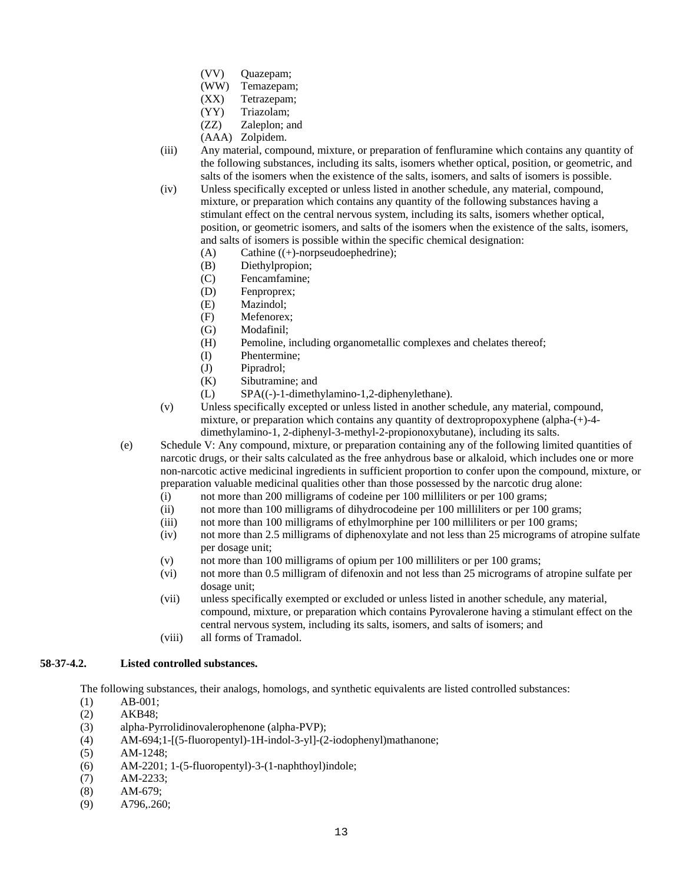- (VV) Quazepam;
- (WW) Temazepam;
- (XX) Tetrazepam;
- (YY) Triazolam;
- (ZZ) Zaleplon; and
- (AAA) Zolpidem.
- (iii) Any material, compound, mixture, or preparation of fenfluramine which contains any quantity of the following substances, including its salts, isomers whether optical, position, or geometric, and salts of the isomers when the existence of the salts, isomers, and salts of isomers is possible.
- (iv) Unless specifically excepted or unless listed in another schedule, any material, compound, mixture, or preparation which contains any quantity of the following substances having a stimulant effect on the central nervous system, including its salts, isomers whether optical, position, or geometric isomers, and salts of the isomers when the existence of the salts, isomers, and salts of isomers is possible within the specific chemical designation:
	- (A) Cathine ((+)-norpseudoephedrine);
	- (B) Diethylpropion;
	- (C) Fencamfamine;
	- (D) Fenproprex;
	- (E) Mazindol;
	- (F) Mefenorex;
	- (G) Modafinil;
	- (H) Pemoline, including organometallic complexes and chelates thereof;
	- (I) Phentermine;
	- (J) Pipradrol;
	- (K) Sibutramine; and
	- (L) SPA((-)-1-dimethylamino-1,2-diphenylethane).
- (v) Unless specifically excepted or unless listed in another schedule, any material, compound, mixture, or preparation which contains any quantity of dextropropoxyphene (alpha-(+)-4 dimethylamino-1, 2-diphenyl-3-methyl-2-propionoxybutane), including its salts.
- (e) Schedule V: Any compound, mixture, or preparation containing any of the following limited quantities of narcotic drugs, or their salts calculated as the free anhydrous base or alkaloid, which includes one or more non-narcotic active medicinal ingredients in sufficient proportion to confer upon the compound, mixture, or preparation valuable medicinal qualities other than those possessed by the narcotic drug alone:
	- (i) not more than 200 milligrams of codeine per 100 milliliters or per 100 grams;
	- (ii) not more than 100 milligrams of dihydrocodeine per 100 milliliters or per 100 grams;
	- (iii) not more than 100 milligrams of ethylmorphine per 100 milliliters or per 100 grams;
	- (iv) not more than 2.5 milligrams of diphenoxylate and not less than 25 micrograms of atropine sulfate per dosage unit;
	- (v) not more than 100 milligrams of opium per 100 milliliters or per 100 grams;
	- (vi) not more than 0.5 milligram of difenoxin and not less than 25 micrograms of atropine sulfate per dosage unit;
	- (vii) unless specifically exempted or excluded or unless listed in another schedule, any material, compound, mixture, or preparation which contains Pyrovalerone having a stimulant effect on the central nervous system, including its salts, isomers, and salts of isomers; and
	- (viii) all forms of Tramadol.

# **58-37-4.2. Listed controlled substances.**

The following substances, their analogs, homologs, and synthetic equivalents are listed controlled substances:

- (1) AB-001;
- (2) AKB48;
- (3) alpha-Pyrrolidinovalerophenone (alpha-PVP);
- (4) AM-694;1-[(5-fluoropentyl)-1H-indol-3-yl]-(2-iodophenyl)mathanone;
- (5) AM-1248;
- (6) AM-2201; 1-(5-fluoropentyl)-3-(1-naphthoyl)indole;
- (7) AM-2233;
- (8) AM-679;
- (9) A796,.260;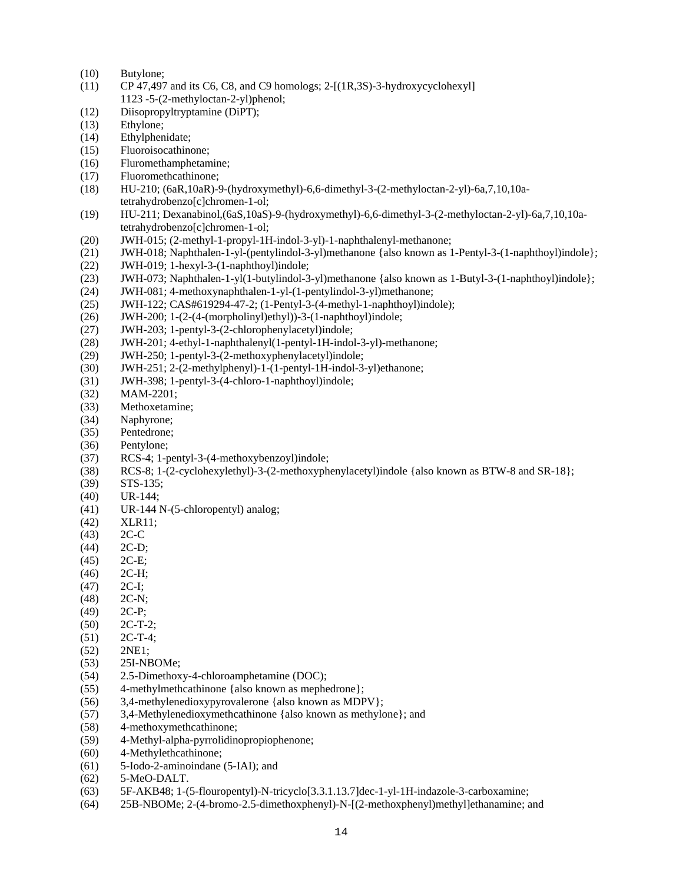- (10) Butylone;
- (11) CP 47,497 and its C6, C8, and C9 homologs; 2-[(1R,3S)-3-hydroxycyclohexyl] 1123 -5-(2-methyloctan-2-yl)phenol;
- (12) Diisopropyltryptamine (DiPT);
- (13) Ethylone;
- (14) Ethylphenidate;
- (15) Fluoroisocathinone;
- (16) Fluromethamphetamine;
- (17) Fluoromethcathinone;
- (18) HU-210; (6aR,10aR)-9-(hydroxymethyl)-6,6-dimethyl-3-(2-methyloctan-2-yl)-6a,7,10,10atetrahydrobenzo[c]chromen-1-ol;
- (19) HU-211; Dexanabinol,(6aS,10aS)-9-(hydroxymethyl)-6,6-dimethyl-3-(2-methyloctan-2-yl)-6a,7,10,10atetrahydrobenzo[c]chromen-1-ol;
- (20) JWH-015; (2-methyl-1-propyl-1H-indol-3-yl)-1-naphthalenyl-methanone;
- (21) JWH-018; Naphthalen-1-yl-(pentylindol-3-yl)methanone {also known as 1-Pentyl-3-(1-naphthoyl)indole};
- (22) JWH-019; 1-hexyl-3-(1-naphthoyl)indole;
- (23) JWH-073; Naphthalen-1-yl(1-butylindol-3-yl)methanone {also known as 1-Butyl-3-(1-naphthoyl)indole};
- (24) JWH-081; 4-methoxynaphthalen-1-yl-(1-pentylindol-3-yl)methanone;
- (25) JWH-122; CAS#619294-47-2; (1-Pentyl-3-(4-methyl-1-naphthoyl)indole);
- (26) JWH-200; 1-(2-(4-(morpholinyl)ethyl))-3-(1-naphthoyl)indole;
- (27) JWH-203; 1-pentyl-3-(2-chlorophenylacetyl)indole;
- (28) JWH-201; 4-ethyl-1-naphthalenyl(1-pentyl-1H-indol-3-yl)-methanone;
- (29) JWH-250; 1-pentyl-3-(2-methoxyphenylacetyl)indole;
- (30) JWH-251; 2-(2-methylphenyl)-1-(1-pentyl-1H-indol-3-yl)ethanone;
- (31) JWH-398; 1-pentyl-3-(4-chloro-1-naphthoyl)indole;
- (32) MAM-2201;
- (33) Methoxetamine;
- (34) Naphyrone;
- (35) Pentedrone;
- (36) Pentylone;
- (37) RCS-4; 1-pentyl-3-(4-methoxybenzoyl)indole;
- (38) RCS-8; 1-(2-cyclohexylethyl)-3-(2-methoxyphenylacetyl)indole {also known as BTW-8 and SR-18};
- (39) STS-135;
- (40) UR-144;
- (41) UR-144 N-(5-chloropentyl) analog;
- (42) XLR11;
- (43) 2C-C
- (44) 2C-D;
- (45) 2C-E;
- (46) 2C-H;
- $(47)$  2C-I;
- (48) 2C-N;
- (49) 2C-P;
- (50) 2C-T-2;
- (51) 2C-T-4;
- (52) 2NE1;
- (53) 25I-NBOMe;
- (54) 2.5-Dimethoxy-4-chloroamphetamine (DOC);
- (55) 4-methylmethcathinone {also known as mephedrone};
- (56) 3,4-methylenedioxypyrovalerone {also known as MDPV};
- (57) 3,4-Methylenedioxymethcathinone {also known as methylone}; and
- (58) 4-methoxymethcathinone;
- (59) 4-Methyl-alpha-pyrrolidinopropiophenone;
- (60) 4-Methylethcathinone;
- (61) 5-Iodo-2-aminoindane (5-IAI); and
- (62) 5-MeO-DALT.
- (63) 5F-AKB48; 1-(5-flouropentyl)-N-tricyclo[3.3.1.13.7]dec-1-yl-1H-indazole-3-carboxamine;
- (64) 25B-NBOMe; 2-(4-bromo-2.5-dimethoxphenyl)-N-[(2-methoxphenyl)methyl]ethanamine; and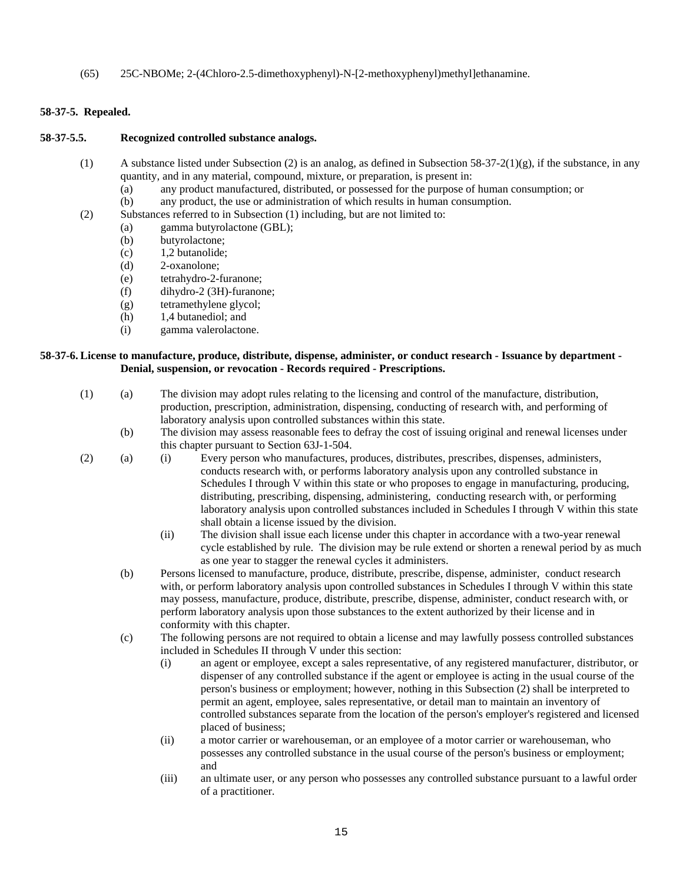(65) 25C-NBOMe; 2-(4Chloro-2.5-dimethoxyphenyl)-N-[2-methoxyphenyl)methyl]ethanamine.

# **58-37-5. Repealed.**

#### **58-37-5.5. Recognized controlled substance analogs.**

- (1) A substance listed under Subsection (2) is an analog, as defined in Subsection 58-37-2(1)(g), if the substance, in any quantity, and in any material, compound, mixture, or preparation, is present in:
	- (a) any product manufactured, distributed, or possessed for the purpose of human consumption; or
	- (b) any product, the use or administration of which results in human consumption.
- (2) Substances referred to in Subsection (1) including, but are not limited to:
	- (a) gamma butyrolactone (GBL);
		- (b) butyrolactone;
		- (c) 1,2 butanolide;
		- (d) 2-oxanolone;
		- (e) tetrahydro-2-furanone;
		- (f) dihydro-2 (3H)-furanone;
		- (g) tetramethylene glycol;
		- (h) 1,4 butanediol; and
		- (i) gamma valerolactone.

#### **58-37-6. License to manufacture, produce, distribute, dispense, administer, or conduct research - Issuance by department - Denial, suspension, or revocation - Records required - Prescriptions.**

- (1) (a) The division may adopt rules relating to the licensing and control of the manufacture, distribution, production, prescription, administration, dispensing, conducting of research with, and performing of laboratory analysis upon controlled substances within this state.
	- (b) The division may assess reasonable fees to defray the cost of issuing original and renewal licenses under this chapter pursuant to Section 63J-1-504.
- (2) (a) (i) Every person who manufactures, produces, distributes, prescribes, dispenses, administers, conducts research with, or performs laboratory analysis upon any controlled substance in Schedules I through V within this state or who proposes to engage in manufacturing, producing, distributing, prescribing, dispensing, administering, conducting research with, or performing laboratory analysis upon controlled substances included in Schedules I through V within this state shall obtain a license issued by the division.
	- (ii) The division shall issue each license under this chapter in accordance with a two-year renewal cycle established by rule. The division may be rule extend or shorten a renewal period by as much as one year to stagger the renewal cycles it administers.
	- (b) Persons licensed to manufacture, produce, distribute, prescribe, dispense, administer, conduct research with, or perform laboratory analysis upon controlled substances in Schedules I through V within this state may possess, manufacture, produce, distribute, prescribe, dispense, administer, conduct research with, or perform laboratory analysis upon those substances to the extent authorized by their license and in conformity with this chapter.
	- (c) The following persons are not required to obtain a license and may lawfully possess controlled substances included in Schedules II through V under this section:
		- (i) an agent or employee, except a sales representative, of any registered manufacturer, distributor, or dispenser of any controlled substance if the agent or employee is acting in the usual course of the person's business or employment; however, nothing in this Subsection (2) shall be interpreted to permit an agent, employee, sales representative, or detail man to maintain an inventory of controlled substances separate from the location of the person's employer's registered and licensed placed of business;
		- (ii) a motor carrier or warehouseman, or an employee of a motor carrier or warehouseman, who possesses any controlled substance in the usual course of the person's business or employment; and
		- (iii) an ultimate user, or any person who possesses any controlled substance pursuant to a lawful order of a practitioner.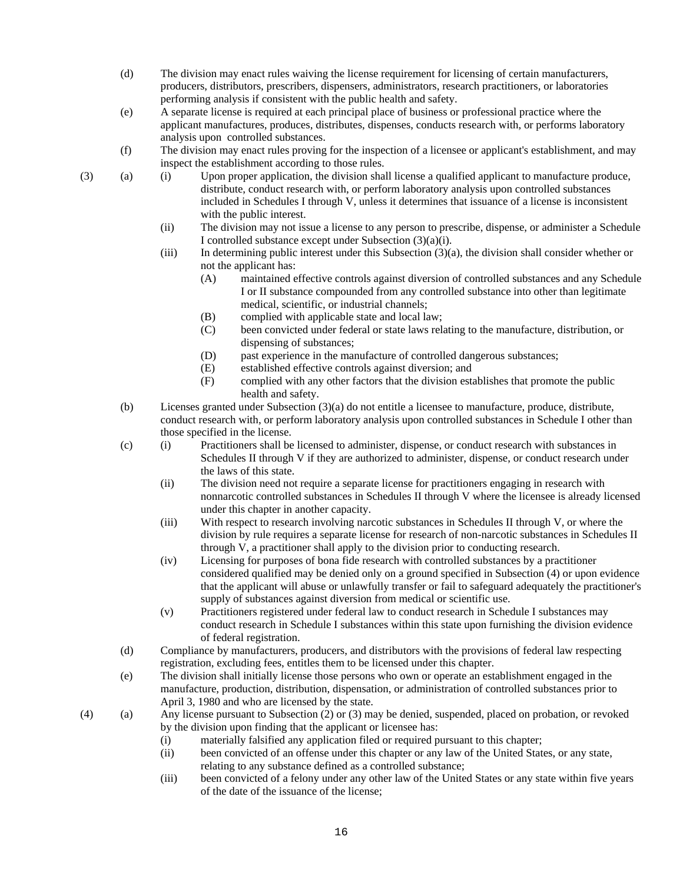- (d) The division may enact rules waiving the license requirement for licensing of certain manufacturers, producers, distributors, prescribers, dispensers, administrators, research practitioners, or laboratories performing analysis if consistent with the public health and safety.
- (e) A separate license is required at each principal place of business or professional practice where the applicant manufactures, produces, distributes, dispenses, conducts research with, or performs laboratory analysis upon controlled substances.
- (f) The division may enact rules proving for the inspection of a licensee or applicant's establishment, and may inspect the establishment according to those rules.
- (3) (a) (i) Upon proper application, the division shall license a qualified applicant to manufacture produce, distribute, conduct research with, or perform laboratory analysis upon controlled substances included in Schedules I through V, unless it determines that issuance of a license is inconsistent with the public interest.
	- (ii) The division may not issue a license to any person to prescribe, dispense, or administer a Schedule I controlled substance except under Subsection (3)(a)(i).
	- (iii) In determining public interest under this Subsection (3)(a), the division shall consider whether or not the applicant has:
		- (A) maintained effective controls against diversion of controlled substances and any Schedule I or II substance compounded from any controlled substance into other than legitimate medical, scientific, or industrial channels;
		- (B) complied with applicable state and local law;
		- (C) been convicted under federal or state laws relating to the manufacture, distribution, or dispensing of substances;
		- (D) past experience in the manufacture of controlled dangerous substances;
		- (E) established effective controls against diversion; and
		- (F) complied with any other factors that the division establishes that promote the public health and safety.
	- (b) Licenses granted under Subsection (3)(a) do not entitle a licensee to manufacture, produce, distribute, conduct research with, or perform laboratory analysis upon controlled substances in Schedule I other than those specified in the license.
	- (c) (i) Practitioners shall be licensed to administer, dispense, or conduct research with substances in Schedules II through V if they are authorized to administer, dispense, or conduct research under the laws of this state.
		- (ii) The division need not require a separate license for practitioners engaging in research with nonnarcotic controlled substances in Schedules II through V where the licensee is already licensed under this chapter in another capacity.
		- (iii) With respect to research involving narcotic substances in Schedules II through V, or where the division by rule requires a separate license for research of non-narcotic substances in Schedules II through V, a practitioner shall apply to the division prior to conducting research.
		- (iv) Licensing for purposes of bona fide research with controlled substances by a practitioner considered qualified may be denied only on a ground specified in Subsection (4) or upon evidence that the applicant will abuse or unlawfully transfer or fail to safeguard adequately the practitioner's supply of substances against diversion from medical or scientific use.
		- (v) Practitioners registered under federal law to conduct research in Schedule I substances may conduct research in Schedule I substances within this state upon furnishing the division evidence of federal registration.
	- (d) Compliance by manufacturers, producers, and distributors with the provisions of federal law respecting registration, excluding fees, entitles them to be licensed under this chapter.
	- (e) The division shall initially license those persons who own or operate an establishment engaged in the manufacture, production, distribution, dispensation, or administration of controlled substances prior to April 3, 1980 and who are licensed by the state.
- (4) (a) Any license pursuant to Subsection (2) or (3) may be denied, suspended, placed on probation, or revoked by the division upon finding that the applicant or licensee has:
	- (i) materially falsified any application filed or required pursuant to this chapter;
	- (ii) been convicted of an offense under this chapter or any law of the United States, or any state, relating to any substance defined as a controlled substance;
	- (iii) been convicted of a felony under any other law of the United States or any state within five years of the date of the issuance of the license;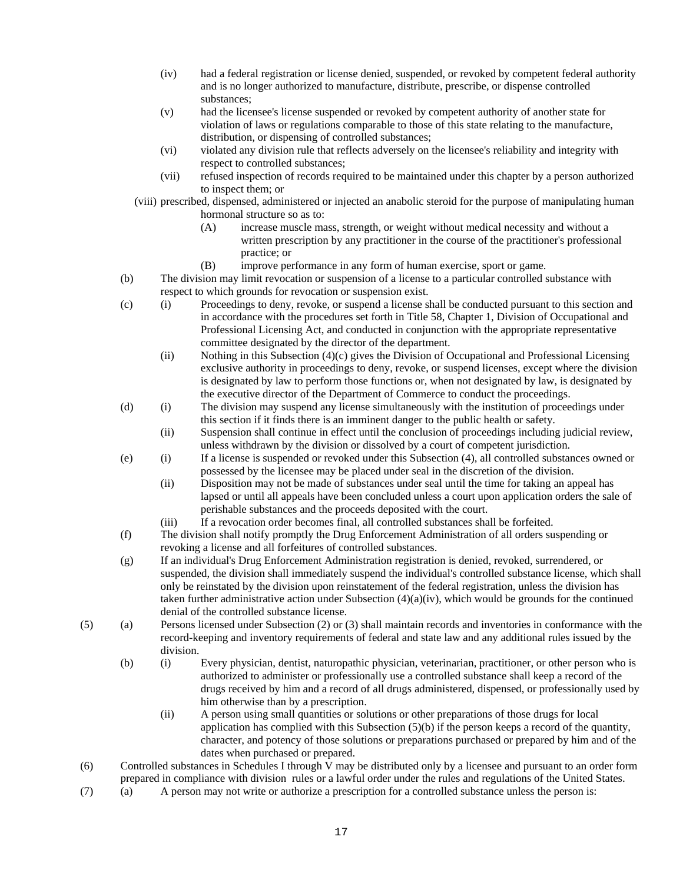- (iv) had a federal registration or license denied, suspended, or revoked by competent federal authority and is no longer authorized to manufacture, distribute, prescribe, or dispense controlled substances;
- (v) had the licensee's license suspended or revoked by competent authority of another state for violation of laws or regulations comparable to those of this state relating to the manufacture, distribution, or dispensing of controlled substances;
- (vi) violated any division rule that reflects adversely on the licensee's reliability and integrity with respect to controlled substances;
- (vii) refused inspection of records required to be maintained under this chapter by a person authorized to inspect them; or
- (viii) prescribed, dispensed, administered or injected an anabolic steroid for the purpose of manipulating human hormonal structure so as to:
	- (A) increase muscle mass, strength, or weight without medical necessity and without a written prescription by any practitioner in the course of the practitioner's professional practice; or
	- (B) improve performance in any form of human exercise, sport or game.
- (b) The division may limit revocation or suspension of a license to a particular controlled substance with respect to which grounds for revocation or suspension exist.
- (c) (i) Proceedings to deny, revoke, or suspend a license shall be conducted pursuant to this section and in accordance with the procedures set forth in Title 58, Chapter 1, Division of Occupational and Professional Licensing Act, and conducted in conjunction with the appropriate representative committee designated by the director of the department.
	- (ii) Nothing in this Subsection (4)(c) gives the Division of Occupational and Professional Licensing exclusive authority in proceedings to deny, revoke, or suspend licenses, except where the division is designated by law to perform those functions or, when not designated by law, is designated by the executive director of the Department of Commerce to conduct the proceedings.
- (d) (i) The division may suspend any license simultaneously with the institution of proceedings under this section if it finds there is an imminent danger to the public health or safety.
	- (ii) Suspension shall continue in effect until the conclusion of proceedings including judicial review, unless withdrawn by the division or dissolved by a court of competent jurisdiction.
- (e) (i) If a license is suspended or revoked under this Subsection (4), all controlled substances owned or possessed by the licensee may be placed under seal in the discretion of the division.
	- (ii) Disposition may not be made of substances under seal until the time for taking an appeal has lapsed or until all appeals have been concluded unless a court upon application orders the sale of perishable substances and the proceeds deposited with the court.
	- (iii) If a revocation order becomes final, all controlled substances shall be forfeited.
- (f) The division shall notify promptly the Drug Enforcement Administration of all orders suspending or revoking a license and all forfeitures of controlled substances.
- (g) If an individual's Drug Enforcement Administration registration is denied, revoked, surrendered, or suspended, the division shall immediately suspend the individual's controlled substance license, which shall only be reinstated by the division upon reinstatement of the federal registration, unless the division has taken further administrative action under Subsection  $(4)(a)(iv)$ , which would be grounds for the continued denial of the controlled substance license.
- (5) (a) Persons licensed under Subsection (2) or (3) shall maintain records and inventories in conformance with the record-keeping and inventory requirements of federal and state law and any additional rules issued by the division.
	- (b) (i) Every physician, dentist, naturopathic physician, veterinarian, practitioner, or other person who is authorized to administer or professionally use a controlled substance shall keep a record of the drugs received by him and a record of all drugs administered, dispensed, or professionally used by him otherwise than by a prescription.
		- (ii) A person using small quantities or solutions or other preparations of those drugs for local application has complied with this Subsection (5)(b) if the person keeps a record of the quantity, character, and potency of those solutions or preparations purchased or prepared by him and of the dates when purchased or prepared.
- (6) Controlled substances in Schedules I through V may be distributed only by a licensee and pursuant to an order form prepared in compliance with division rules or a lawful order under the rules and regulations of the United States.
- (7) (a) A person may not write or authorize a prescription for a controlled substance unless the person is: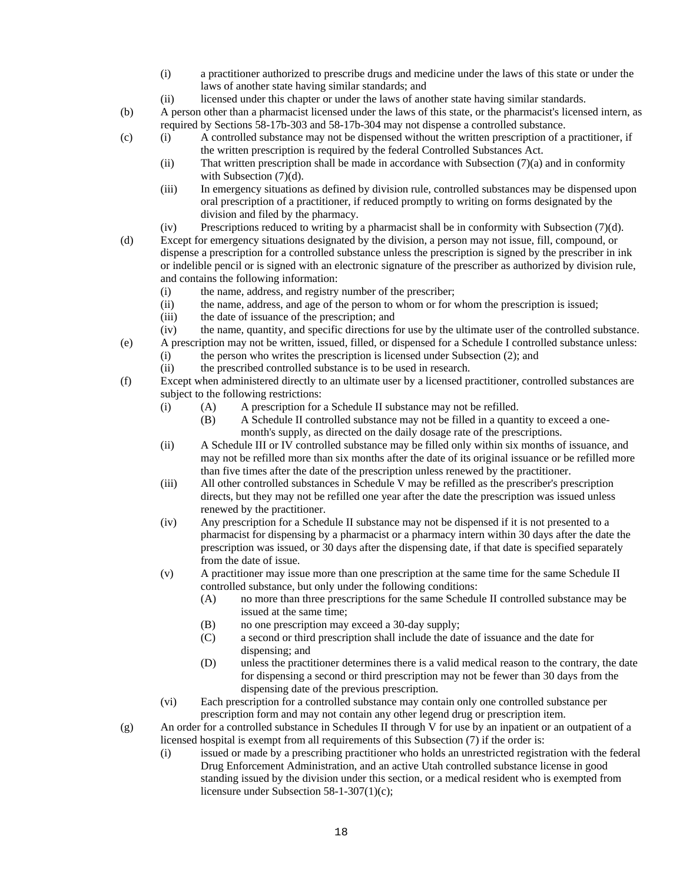- (i) a practitioner authorized to prescribe drugs and medicine under the laws of this state or under the laws of another state having similar standards; and
- (ii) licensed under this chapter or under the laws of another state having similar standards.
- (b) A person other than a pharmacist licensed under the laws of this state, or the pharmacist's licensed intern, as required by Sections 58-17b-303 and 58-17b-304 may not dispense a controlled substance.
- (c) (i) A controlled substance may not be dispensed without the written prescription of a practitioner, if the written prescription is required by the federal Controlled Substances Act.
	- (ii) That written prescription shall be made in accordance with Subsection (7)(a) and in conformity with Subsection  $(7)(d)$ .
	- (iii) In emergency situations as defined by division rule, controlled substances may be dispensed upon oral prescription of a practitioner, if reduced promptly to writing on forms designated by the division and filed by the pharmacy.
	- (iv) Prescriptions reduced to writing by a pharmacist shall be in conformity with Subsection (7)(d).
- (d) Except for emergency situations designated by the division, a person may not issue, fill, compound, or dispense a prescription for a controlled substance unless the prescription is signed by the prescriber in ink or indelible pencil or is signed with an electronic signature of the prescriber as authorized by division rule, and contains the following information:
	- (i) the name, address, and registry number of the prescriber;
	- (ii) the name, address, and age of the person to whom or for whom the prescription is issued;
	- (iii) the date of issuance of the prescription; and
- (iv) the name, quantity, and specific directions for use by the ultimate user of the controlled substance.
- (e) A prescription may not be written, issued, filled, or dispensed for a Schedule I controlled substance unless: (i) the person who writes the prescription is licensed under Subsection (2); and
	- (ii) the prescribed controlled substance is to be used in research.
- (f) Except when administered directly to an ultimate user by a licensed practitioner, controlled substances are subject to the following restrictions:
	- (i) (A) A prescription for a Schedule II substance may not be refilled.
		- (B) A Schedule II controlled substance may not be filled in a quantity to exceed a onemonth's supply, as directed on the daily dosage rate of the prescriptions.
	- (ii) A Schedule III or IV controlled substance may be filled only within six months of issuance, and may not be refilled more than six months after the date of its original issuance or be refilled more than five times after the date of the prescription unless renewed by the practitioner.
	- (iii) All other controlled substances in Schedule V may be refilled as the prescriber's prescription directs, but they may not be refilled one year after the date the prescription was issued unless renewed by the practitioner.
	- (iv) Any prescription for a Schedule II substance may not be dispensed if it is not presented to a pharmacist for dispensing by a pharmacist or a pharmacy intern within 30 days after the date the prescription was issued, or 30 days after the dispensing date, if that date is specified separately from the date of issue.
	- (v) A practitioner may issue more than one prescription at the same time for the same Schedule II controlled substance, but only under the following conditions:
		- (A) no more than three prescriptions for the same Schedule II controlled substance may be issued at the same time;
		- (B) no one prescription may exceed a 30-day supply;
		- (C) a second or third prescription shall include the date of issuance and the date for dispensing; and
		- (D) unless the practitioner determines there is a valid medical reason to the contrary, the date for dispensing a second or third prescription may not be fewer than 30 days from the dispensing date of the previous prescription.
	- (vi) Each prescription for a controlled substance may contain only one controlled substance per prescription form and may not contain any other legend drug or prescription item.

(g) An order for a controlled substance in Schedules II through V for use by an inpatient or an outpatient of a licensed hospital is exempt from all requirements of this Subsection (7) if the order is:

(i) issued or made by a prescribing practitioner who holds an unrestricted registration with the federal Drug Enforcement Administration, and an active Utah controlled substance license in good standing issued by the division under this section, or a medical resident who is exempted from licensure under Subsection 58-1-307(1)(c);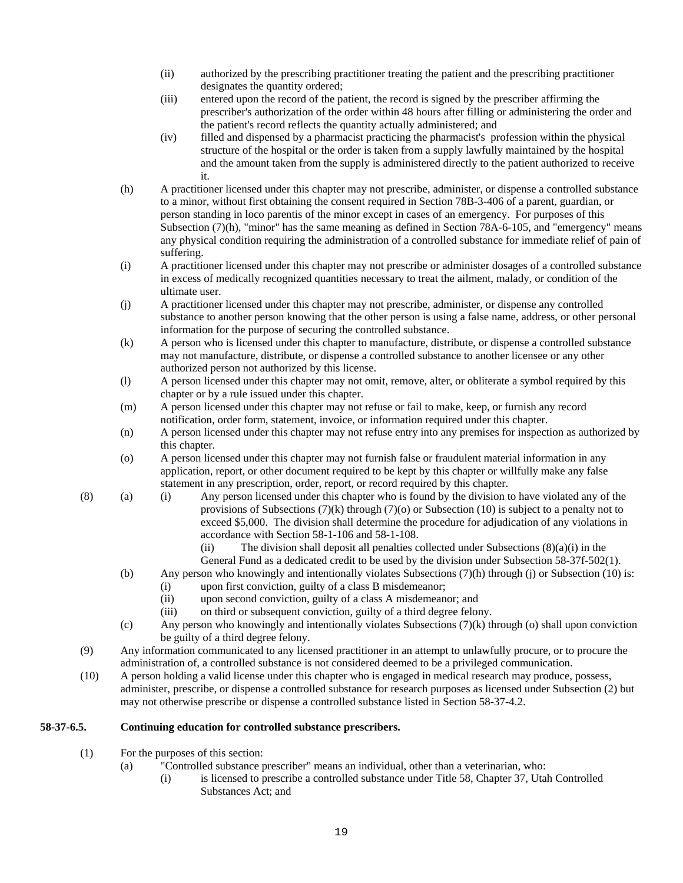- (ii) authorized by the prescribing practitioner treating the patient and the prescribing practitioner designates the quantity ordered;
- (iii) entered upon the record of the patient, the record is signed by the prescriber affirming the prescriber's authorization of the order within 48 hours after filling or administering the order and the patient's record reflects the quantity actually administered; and
- (iv) filled and dispensed by a pharmacist practicing the pharmacist's profession within the physical structure of the hospital or the order is taken from a supply lawfully maintained by the hospital and the amount taken from the supply is administered directly to the patient authorized to receive it.
- (h) A practitioner licensed under this chapter may not prescribe, administer, or dispense a controlled substance to a minor, without first obtaining the consent required in Section 78B-3-406 of a parent, guardian, or person standing in loco parentis of the minor except in cases of an emergency. For purposes of this Subsection (7)(h), "minor" has the same meaning as defined in Section 78A-6-105, and "emergency" means any physical condition requiring the administration of a controlled substance for immediate relief of pain of suffering.
- (i) A practitioner licensed under this chapter may not prescribe or administer dosages of a controlled substance in excess of medically recognized quantities necessary to treat the ailment, malady, or condition of the ultimate user.
- (j) A practitioner licensed under this chapter may not prescribe, administer, or dispense any controlled substance to another person knowing that the other person is using a false name, address, or other personal information for the purpose of securing the controlled substance.
- (k) A person who is licensed under this chapter to manufacture, distribute, or dispense a controlled substance may not manufacture, distribute, or dispense a controlled substance to another licensee or any other authorized person not authorized by this license.
- (l) A person licensed under this chapter may not omit, remove, alter, or obliterate a symbol required by this chapter or by a rule issued under this chapter.
- (m) A person licensed under this chapter may not refuse or fail to make, keep, or furnish any record notification, order form, statement, invoice, or information required under this chapter.
- (n) A person licensed under this chapter may not refuse entry into any premises for inspection as authorized by this chapter.
- (o) A person licensed under this chapter may not furnish false or fraudulent material information in any application, report, or other document required to be kept by this chapter or willfully make any false statement in any prescription, order, report, or record required by this chapter.
- (8) (a) (i) Any person licensed under this chapter who is found by the division to have violated any of the provisions of Subsections  $(7)(k)$  through  $(7)(o)$  or Subsection (10) is subject to a penalty not to exceed \$5,000. The division shall determine the procedure for adjudication of any violations in accordance with Section 58-1-106 and 58-1-108.

(ii) The division shall deposit all penalties collected under Subsections  $(8)(a)(i)$  in the General Fund as a dedicated credit to be used by the division under Subsection 58-37f-502(1).

- (b) Any person who knowingly and intentionally violates Subsections (7)(h) through (j) or Subsection (10) is:
	- (i) upon first conviction, guilty of a class B misdemeanor;
	- (ii) upon second conviction, guilty of a class A misdemeanor; and
	- (iii) on third or subsequent conviction, guilty of a third degree felony.
- (c) Any person who knowingly and intentionally violates Subsections (7)(k) through (o) shall upon conviction be guilty of a third degree felony.
- (9) Any information communicated to any licensed practitioner in an attempt to unlawfully procure, or to procure the administration of, a controlled substance is not considered deemed to be a privileged communication.
- (10) A person holding a valid license under this chapter who is engaged in medical research may produce, possess, administer, prescribe, or dispense a controlled substance for research purposes as licensed under Subsection (2) but may not otherwise prescribe or dispense a controlled substance listed in Section 58-37-4.2.

# **58-37-6.5. Continuing education for controlled substance prescribers.**

- (1) For the purposes of this section:
	- (a) "Controlled substance prescriber" means an individual, other than a veterinarian, who:
		- (i) is licensed to prescribe a controlled substance under Title 58, Chapter 37, Utah Controlled Substances Act; and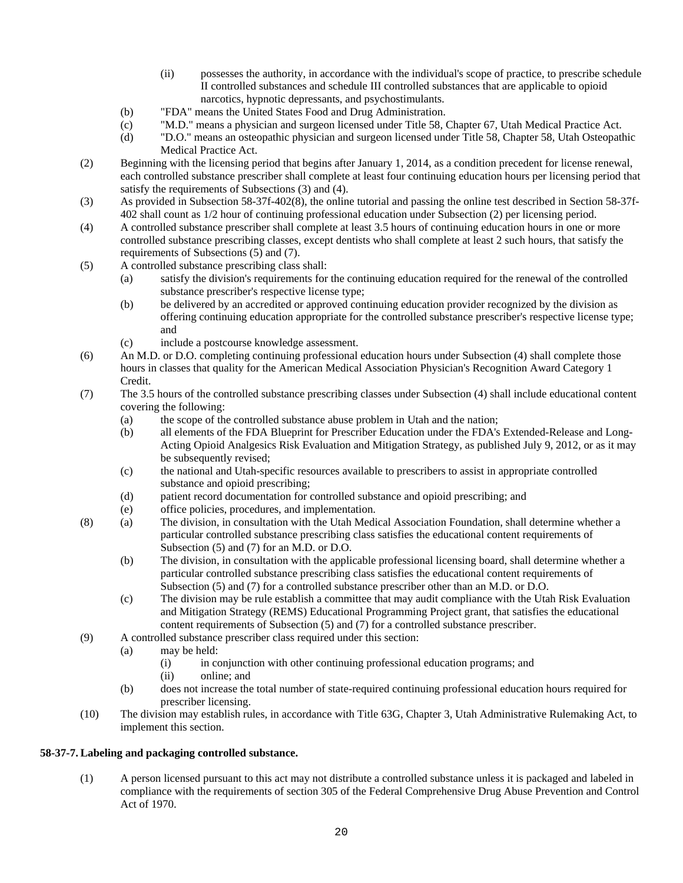- (ii) possesses the authority, in accordance with the individual's scope of practice, to prescribe schedule II controlled substances and schedule III controlled substances that are applicable to opioid narcotics, hypnotic depressants, and psychostimulants.
- (b) "FDA" means the United States Food and Drug Administration.
- (c) "M.D." means a physician and surgeon licensed under Title 58, Chapter 67, Utah Medical Practice Act.
- (d) "D.O." means an osteopathic physician and surgeon licensed under Title 58, Chapter 58, Utah Osteopathic Medical Practice Act.
- (2) Beginning with the licensing period that begins after January 1, 2014, as a condition precedent for license renewal, each controlled substance prescriber shall complete at least four continuing education hours per licensing period that satisfy the requirements of Subsections (3) and (4).
- (3) As provided in Subsection 58-37f-402(8), the online tutorial and passing the online test described in Section 58-37f-402 shall count as 1/2 hour of continuing professional education under Subsection (2) per licensing period.
- (4) A controlled substance prescriber shall complete at least 3.5 hours of continuing education hours in one or more controlled substance prescribing classes, except dentists who shall complete at least 2 such hours, that satisfy the requirements of Subsections (5) and (7).
- (5) A controlled substance prescribing class shall:
	- (a) satisfy the division's requirements for the continuing education required for the renewal of the controlled substance prescriber's respective license type;
	- (b) be delivered by an accredited or approved continuing education provider recognized by the division as offering continuing education appropriate for the controlled substance prescriber's respective license type; and
	- (c) include a postcourse knowledge assessment.
- (6) An M.D. or D.O. completing continuing professional education hours under Subsection (4) shall complete those hours in classes that quality for the American Medical Association Physician's Recognition Award Category 1 Credit.
- (7) The 3.5 hours of the controlled substance prescribing classes under Subsection (4) shall include educational content covering the following:
	- (a) the scope of the controlled substance abuse problem in Utah and the nation;
	- (b) all elements of the FDA Blueprint for Prescriber Education under the FDA's Extended-Release and Long-Acting Opioid Analgesics Risk Evaluation and Mitigation Strategy, as published July 9, 2012, or as it may be subsequently revised;
	- (c) the national and Utah-specific resources available to prescribers to assist in appropriate controlled substance and opioid prescribing;
	- (d) patient record documentation for controlled substance and opioid prescribing; and
	- (e) office policies, procedures, and implementation.
- (8) (a) The division, in consultation with the Utah Medical Association Foundation, shall determine whether a particular controlled substance prescribing class satisfies the educational content requirements of Subsection (5) and (7) for an M.D. or D.O.
	- (b) The division, in consultation with the applicable professional licensing board, shall determine whether a particular controlled substance prescribing class satisfies the educational content requirements of Subsection (5) and (7) for a controlled substance prescriber other than an M.D. or D.O.
	- (c) The division may be rule establish a committee that may audit compliance with the Utah Risk Evaluation and Mitigation Strategy (REMS) Educational Programming Project grant, that satisfies the educational content requirements of Subsection (5) and (7) for a controlled substance prescriber.
- (9) A controlled substance prescriber class required under this section:
	- (a) may be held:
		- (i) in conjunction with other continuing professional education programs; and
		- (ii) online; and
	- (b) does not increase the total number of state-required continuing professional education hours required for prescriber licensing.
- (10) The division may establish rules, in accordance with Title 63G, Chapter 3, Utah Administrative Rulemaking Act, to implement this section.

## **58-37-7. Labeling and packaging controlled substance.**

(1) A person licensed pursuant to this act may not distribute a controlled substance unless it is packaged and labeled in compliance with the requirements of section 305 of the Federal Comprehensive Drug Abuse Prevention and Control Act of 1970.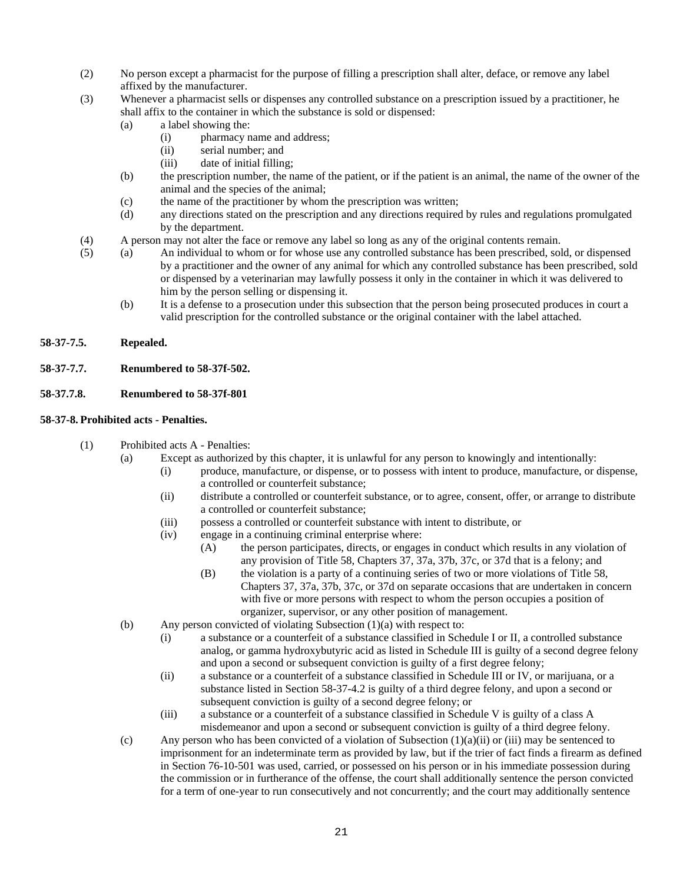- (2) No person except a pharmacist for the purpose of filling a prescription shall alter, deface, or remove any label affixed by the manufacturer.
- (3) Whenever a pharmacist sells or dispenses any controlled substance on a prescription issued by a practitioner, he shall affix to the container in which the substance is sold or dispensed:
	- (a) a label showing the:
		- (i) pharmacy name and address;
		- (ii) serial number; and
		- (iii) date of initial filling;
	- (b) the prescription number, the name of the patient, or if the patient is an animal, the name of the owner of the animal and the species of the animal;
	- (c) the name of the practitioner by whom the prescription was written;
	- (d) any directions stated on the prescription and any directions required by rules and regulations promulgated by the department.
- (4) A person may not alter the face or remove any label so long as any of the original contents remain.
- (5) (a) An individual to whom or for whose use any controlled substance has been prescribed, sold, or dispensed by a practitioner and the owner of any animal for which any controlled substance has been prescribed, sold or dispensed by a veterinarian may lawfully possess it only in the container in which it was delivered to him by the person selling or dispensing it.
	- (b) It is a defense to a prosecution under this subsection that the person being prosecuted produces in court a valid prescription for the controlled substance or the original container with the label attached.

# **58-37-7.5. Repealed.**

**58-37-7.7. Renumbered to 58-37f-502.**

# **58-37.7.8. Renumbered to 58-37f-801**

#### **58-37-8. Prohibited acts - Penalties.**

- (1) Prohibited acts A Penalties:
	- (a) Except as authorized by this chapter, it is unlawful for any person to knowingly and intentionally:
		- (i) produce, manufacture, or dispense, or to possess with intent to produce, manufacture, or dispense, a controlled or counterfeit substance;
		- (ii) distribute a controlled or counterfeit substance, or to agree, consent, offer, or arrange to distribute a controlled or counterfeit substance;
		- (iii) possess a controlled or counterfeit substance with intent to distribute, or
		- (iv) engage in a continuing criminal enterprise where:
			- (A) the person participates, directs, or engages in conduct which results in any violation of any provision of Title 58, Chapters 37, 37a, 37b, 37c, or 37d that is a felony; and
			- (B) the violation is a party of a continuing series of two or more violations of Title 58, Chapters 37, 37a, 37b, 37c, or 37d on separate occasions that are undertaken in concern with five or more persons with respect to whom the person occupies a position of organizer, supervisor, or any other position of management.
	- (b) Any person convicted of violating Subsection (1)(a) with respect to:
		- (i) a substance or a counterfeit of a substance classified in Schedule I or II, a controlled substance analog, or gamma hydroxybutyric acid as listed in Schedule III is guilty of a second degree felony and upon a second or subsequent conviction is guilty of a first degree felony;
		- (ii) a substance or a counterfeit of a substance classified in Schedule III or IV, or marijuana, or a substance listed in Section 58-37-4.2 is guilty of a third degree felony, and upon a second or subsequent conviction is guilty of a second degree felony; or
		- (iii) a substance or a counterfeit of a substance classified in Schedule V is guilty of a class A misdemeanor and upon a second or subsequent conviction is guilty of a third degree felony.
	- (c) Any person who has been convicted of a violation of Subsection  $(1)(a)(ii)$  or (iii) may be sentenced to imprisonment for an indeterminate term as provided by law, but if the trier of fact finds a firearm as defined in Section 76-10-501 was used, carried, or possessed on his person or in his immediate possession during the commission or in furtherance of the offense, the court shall additionally sentence the person convicted for a term of one-year to run consecutively and not concurrently; and the court may additionally sentence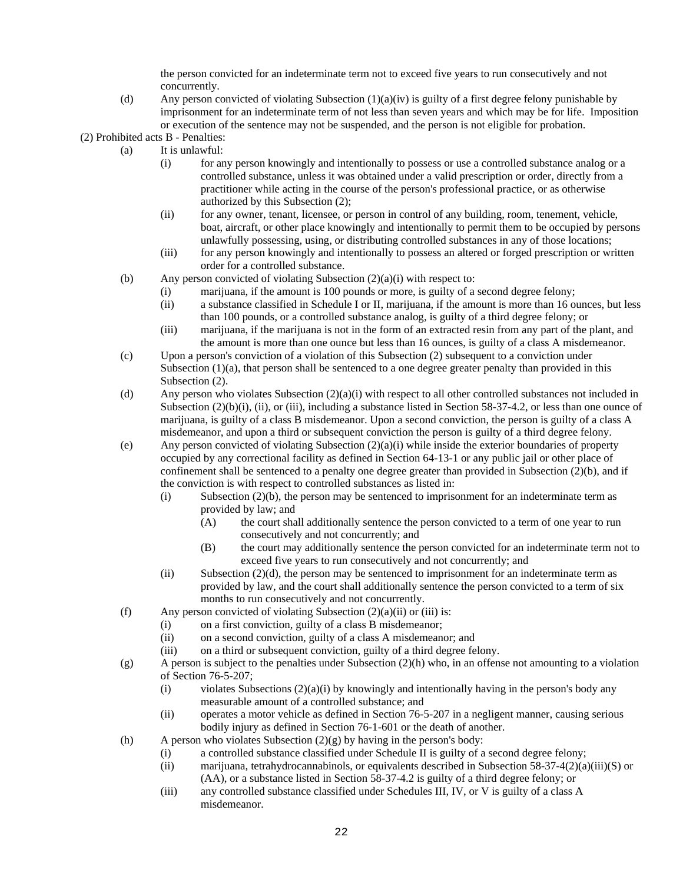the person convicted for an indeterminate term not to exceed five years to run consecutively and not concurrently.

- (d) Any person convicted of violating Subsection  $(1)(a)(iv)$  is guilty of a first degree felony punishable by imprisonment for an indeterminate term of not less than seven years and which may be for life. Imposition or execution of the sentence may not be suspended, and the person is not eligible for probation.
- (2) Prohibited acts B Penalties:
	- (a) It is unlawful:
		- (i) for any person knowingly and intentionally to possess or use a controlled substance analog or a controlled substance, unless it was obtained under a valid prescription or order, directly from a practitioner while acting in the course of the person's professional practice, or as otherwise authorized by this Subsection (2);
		- (ii) for any owner, tenant, licensee, or person in control of any building, room, tenement, vehicle, boat, aircraft, or other place knowingly and intentionally to permit them to be occupied by persons unlawfully possessing, using, or distributing controlled substances in any of those locations;
		- (iii) for any person knowingly and intentionally to possess an altered or forged prescription or written order for a controlled substance.
	- (b) Any person convicted of violating Subsection  $(2)(a)(i)$  with respect to:
		- (i) marijuana, if the amount is 100 pounds or more, is guilty of a second degree felony;
		- (ii) a substance classified in Schedule I or II, marijuana, if the amount is more than 16 ounces, but less than 100 pounds, or a controlled substance analog, is guilty of a third degree felony; or
		- (iii) marijuana, if the marijuana is not in the form of an extracted resin from any part of the plant, and the amount is more than one ounce but less than 16 ounces, is guilty of a class A misdemeanor.
	- (c) Upon a person's conviction of a violation of this Subsection (2) subsequent to a conviction under Subsection  $(1)(a)$ , that person shall be sentenced to a one degree greater penalty than provided in this Subsection  $(2)$ .
	- (d) Any person who violates Subsection (2)(a)(i) with respect to all other controlled substances not included in Subsection  $(2)(b)(i)$ , (ii), or (iii), including a substance listed in Section 58-37-4.2, or less than one ounce of marijuana, is guilty of a class B misdemeanor. Upon a second conviction, the person is guilty of a class A misdemeanor, and upon a third or subsequent conviction the person is guilty of a third degree felony.
	- (e) Any person convicted of violating Subsection  $(2)(a)(i)$  while inside the exterior boundaries of property occupied by any correctional facility as defined in Section 64-13-1 or any public jail or other place of confinement shall be sentenced to a penalty one degree greater than provided in Subsection (2)(b), and if the conviction is with respect to controlled substances as listed in:
		- (i) Subsection (2)(b), the person may be sentenced to imprisonment for an indeterminate term as provided by law; and
			- (A) the court shall additionally sentence the person convicted to a term of one year to run consecutively and not concurrently; and
			- (B) the court may additionally sentence the person convicted for an indeterminate term not to exceed five years to run consecutively and not concurrently; and
		- (ii) Subsection (2)(d), the person may be sentenced to imprisonment for an indeterminate term as provided by law, and the court shall additionally sentence the person convicted to a term of six months to run consecutively and not concurrently.
	- (f) Any person convicted of violating Subsection  $(2)(a)(ii)$  or (iii) is:
		- (i) on a first conviction, guilty of a class B misdemeanor;
		- (ii) on a second conviction, guilty of a class A misdemeanor; and
		- (iii) on a third or subsequent conviction, guilty of a third degree felony.
	- $(g)$  A person is subject to the penalties under Subsection  $(2)(h)$  who, in an offense not amounting to a violation of Section 76-5-207;
		- (i) violates Subsections  $(2)(a)(i)$  by knowingly and intentionally having in the person's body any measurable amount of a controlled substance; and
		- (ii) operates a motor vehicle as defined in Section 76-5-207 in a negligent manner, causing serious bodily injury as defined in Section 76-1-601 or the death of another.
	- (h) A person who violates Subsection  $(2)(g)$  by having in the person's body:
		- (i) a controlled substance classified under Schedule II is guilty of a second degree felony;
		- (ii) marijuana, tetrahydrocannabinols, or equivalents described in Subsection 58-37-4(2)(a)(iii)(S) or (AA), or a substance listed in Section 58-37-4.2 is guilty of a third degree felony; or
		- (iii) any controlled substance classified under Schedules III, IV, or V is guilty of a class A misdemeanor.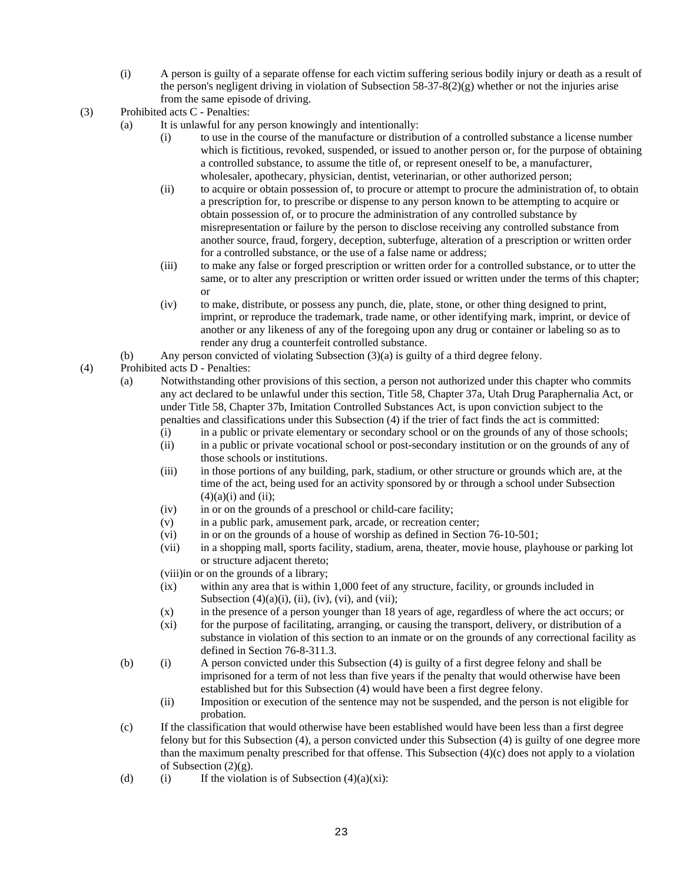- (i) A person is guilty of a separate offense for each victim suffering serious bodily injury or death as a result of the person's negligent driving in violation of Subsection  $58-37-8(2)(g)$  whether or not the injuries arise from the same episode of driving.
- (3) Prohibited acts C Penalties:
	- (a) It is unlawful for any person knowingly and intentionally:
		- (i) to use in the course of the manufacture or distribution of a controlled substance a license number which is fictitious, revoked, suspended, or issued to another person or, for the purpose of obtaining a controlled substance, to assume the title of, or represent oneself to be, a manufacturer, wholesaler, apothecary, physician, dentist, veterinarian, or other authorized person;
		- (ii) to acquire or obtain possession of, to procure or attempt to procure the administration of, to obtain a prescription for, to prescribe or dispense to any person known to be attempting to acquire or obtain possession of, or to procure the administration of any controlled substance by misrepresentation or failure by the person to disclose receiving any controlled substance from another source, fraud, forgery, deception, subterfuge, alteration of a prescription or written order for a controlled substance, or the use of a false name or address;
		- (iii) to make any false or forged prescription or written order for a controlled substance, or to utter the same, or to alter any prescription or written order issued or written under the terms of this chapter; or
		- (iv) to make, distribute, or possess any punch, die, plate, stone, or other thing designed to print, imprint, or reproduce the trademark, trade name, or other identifying mark, imprint, or device of another or any likeness of any of the foregoing upon any drug or container or labeling so as to render any drug a counterfeit controlled substance.
	- (b) Any person convicted of violating Subsection (3)(a) is guilty of a third degree felony.
- (4) Prohibited acts D Penalties:
	- (a) Notwithstanding other provisions of this section, a person not authorized under this chapter who commits any act declared to be unlawful under this section, Title 58, Chapter 37a, Utah Drug Paraphernalia Act, or under Title 58, Chapter 37b, Imitation Controlled Substances Act, is upon conviction subject to the penalties and classifications under this Subsection (4) if the trier of fact finds the act is committed:
		- (i) in a public or private elementary or secondary school or on the grounds of any of those schools;
		- (ii) in a public or private vocational school or post-secondary institution or on the grounds of any of those schools or institutions.
		- (iii) in those portions of any building, park, stadium, or other structure or grounds which are, at the time of the act, being used for an activity sponsored by or through a school under Subsection  $(4)(a)(i)$  and  $(ii)$ ;
		- (iv) in or on the grounds of a preschool or child-care facility;
		- (v) in a public park, amusement park, arcade, or recreation center;
		- (vi) in or on the grounds of a house of worship as defined in Section 76-10-501;
		- (vii) in a shopping mall, sports facility, stadium, arena, theater, movie house, playhouse or parking lot or structure adjacent thereto;
		- (viii)in or on the grounds of a library;
		- (ix) within any area that is within 1,000 feet of any structure, facility, or grounds included in Subsection  $(4)(a)(i)$ ,  $(ii)$ ,  $(iv)$ ,  $(vi)$ , and  $(vii)$ ;
		- (x) in the presence of a person younger than 18 years of age, regardless of where the act occurs; or
		- (xi) for the purpose of facilitating, arranging, or causing the transport, delivery, or distribution of a substance in violation of this section to an inmate or on the grounds of any correctional facility as defined in Section 76-8-311.3.
	- (b) (i) A person convicted under this Subsection (4) is guilty of a first degree felony and shall be imprisoned for a term of not less than five years if the penalty that would otherwise have been established but for this Subsection (4) would have been a first degree felony.
		- (ii) Imposition or execution of the sentence may not be suspended, and the person is not eligible for probation.
	- (c) If the classification that would otherwise have been established would have been less than a first degree felony but for this Subsection (4), a person convicted under this Subsection (4) is guilty of one degree more than the maximum penalty prescribed for that offense. This Subsection (4)(c) does not apply to a violation of Subsection  $(2)(g)$ .
	- (d) (i) If the violation is of Subsection  $(4)(a)(xi)$ :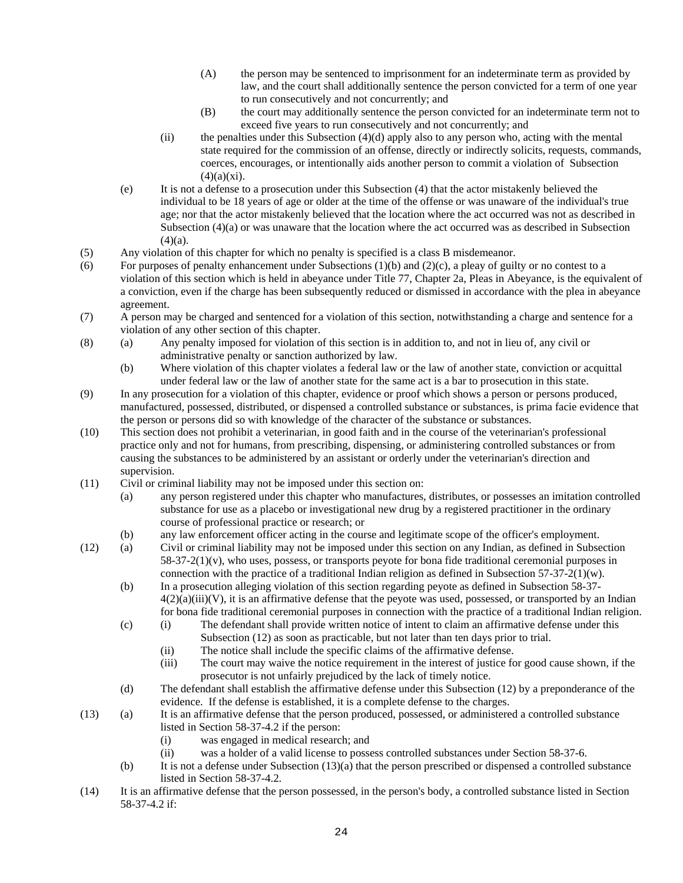- (A) the person may be sentenced to imprisonment for an indeterminate term as provided by law, and the court shall additionally sentence the person convicted for a term of one year to run consecutively and not concurrently; and
- (B) the court may additionally sentence the person convicted for an indeterminate term not to exceed five years to run consecutively and not concurrently; and
- $(iii)$  the penalties under this Subsection  $(4)(d)$  apply also to any person who, acting with the mental state required for the commission of an offense, directly or indirectly solicits, requests, commands, coerces, encourages, or intentionally aids another person to commit a violation of Subsection  $(4)(a)(xi)$ .
- (e) It is not a defense to a prosecution under this Subsection (4) that the actor mistakenly believed the individual to be 18 years of age or older at the time of the offense or was unaware of the individual's true age; nor that the actor mistakenly believed that the location where the act occurred was not as described in Subsection (4)(a) or was unaware that the location where the act occurred was as described in Subsection  $(4)(a)$ .
- (5) Any violation of this chapter for which no penalty is specified is a class B misdemeanor.
- (6) For purposes of penalty enhancement under Subsections  $(1)(b)$  and  $(2)(c)$ , a pleay of guilty or no contest to a violation of this section which is held in abeyance under Title 77, Chapter 2a, Pleas in Abeyance, is the equivalent of a conviction, even if the charge has been subsequently reduced or dismissed in accordance with the plea in abeyance agreement.
- (7) A person may be charged and sentenced for a violation of this section, notwithstanding a charge and sentence for a violation of any other section of this chapter.
- (8) (a) Any penalty imposed for violation of this section is in addition to, and not in lieu of, any civil or administrative penalty or sanction authorized by law.
	- (b) Where violation of this chapter violates a federal law or the law of another state, conviction or acquittal under federal law or the law of another state for the same act is a bar to prosecution in this state.
- (9) In any prosecution for a violation of this chapter, evidence or proof which shows a person or persons produced, manufactured, possessed, distributed, or dispensed a controlled substance or substances, is prima facie evidence that the person or persons did so with knowledge of the character of the substance or substances.
- (10) This section does not prohibit a veterinarian, in good faith and in the course of the veterinarian's professional practice only and not for humans, from prescribing, dispensing, or administering controlled substances or from causing the substances to be administered by an assistant or orderly under the veterinarian's direction and supervision.
- (11) Civil or criminal liability may not be imposed under this section on:
	- (a) any person registered under this chapter who manufactures, distributes, or possesses an imitation controlled substance for use as a placebo or investigational new drug by a registered practitioner in the ordinary course of professional practice or research; or
	- (b) any law enforcement officer acting in the course and legitimate scope of the officer's employment.
- (12) (a) Civil or criminal liability may not be imposed under this section on any Indian, as defined in Subsection  $58-37-2(1)(v)$ , who uses, possess, or transports peyote for bona fide traditional ceremonial purposes in connection with the practice of a traditional Indian religion as defined in Subsection  $57-37-2(1)(w)$ .
	- (b) In a prosecution alleging violation of this section regarding peyote as defined in Subsection 58-37-  $4(2)(a)(iii)(V)$ , it is an affirmative defense that the peyote was used, possessed, or transported by an Indian for bona fide traditional ceremonial purposes in connection with the practice of a traditional Indian religion.
	- (c) (i) The defendant shall provide written notice of intent to claim an affirmative defense under this Subsection (12) as soon as practicable, but not later than ten days prior to trial.
		- (ii) The notice shall include the specific claims of the affirmative defense.
		- (iii) The court may waive the notice requirement in the interest of justice for good cause shown, if the prosecutor is not unfairly prejudiced by the lack of timely notice.
	- (d) The defendant shall establish the affirmative defense under this Subsection (12) by a preponderance of the evidence. If the defense is established, it is a complete defense to the charges.
- (13) (a) It is an affirmative defense that the person produced, possessed, or administered a controlled substance listed in Section 58-37-4.2 if the person:
	- (i) was engaged in medical research; and
	- (ii) was a holder of a valid license to possess controlled substances under Section 58-37-6.
	- (b) It is not a defense under Subsection (13)(a) that the person prescribed or dispensed a controlled substance listed in Section 58-37-4.2.
- (14) It is an affirmative defense that the person possessed, in the person's body, a controlled substance listed in Section 58-37-4.2 if: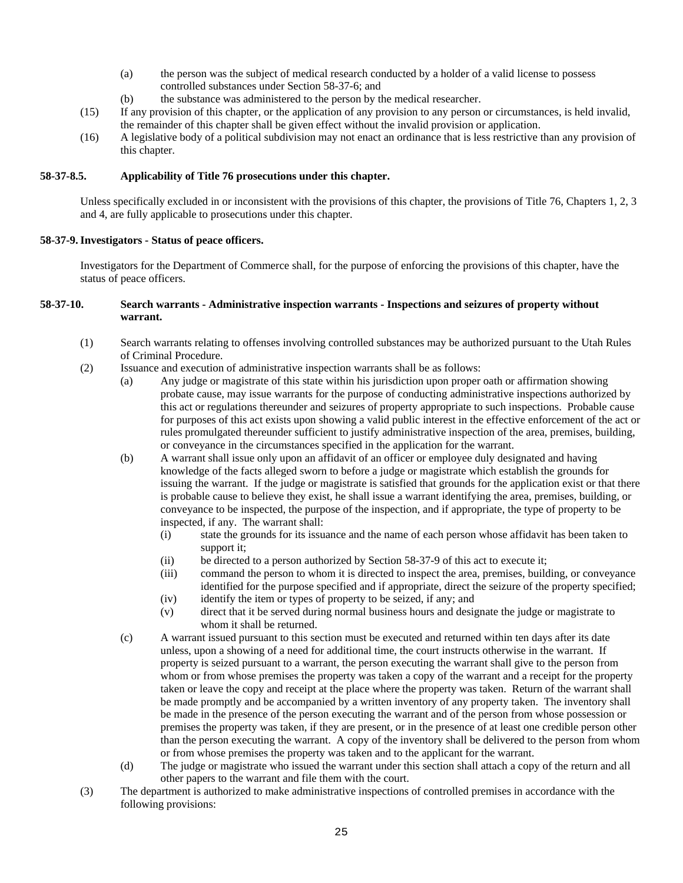- (a) the person was the subject of medical research conducted by a holder of a valid license to possess controlled substances under Section 58-37-6; and
- (b) the substance was administered to the person by the medical researcher.
- (15) If any provision of this chapter, or the application of any provision to any person or circumstances, is held invalid, the remainder of this chapter shall be given effect without the invalid provision or application.
- (16) A legislative body of a political subdivision may not enact an ordinance that is less restrictive than any provision of this chapter.

#### **58-37-8.5. Applicability of Title 76 prosecutions under this chapter.**

Unless specifically excluded in or inconsistent with the provisions of this chapter, the provisions of Title 76, Chapters 1, 2, 3 and 4, are fully applicable to prosecutions under this chapter.

#### **58-37-9. Investigators - Status of peace officers.**

Investigators for the Department of Commerce shall, for the purpose of enforcing the provisions of this chapter, have the status of peace officers.

# **58-37-10. Search warrants - Administrative inspection warrants - Inspections and seizures of property without warrant.**

- (1) Search warrants relating to offenses involving controlled substances may be authorized pursuant to the Utah Rules of Criminal Procedure.
- (2) Issuance and execution of administrative inspection warrants shall be as follows:
	- (a) Any judge or magistrate of this state within his jurisdiction upon proper oath or affirmation showing probate cause, may issue warrants for the purpose of conducting administrative inspections authorized by this act or regulations thereunder and seizures of property appropriate to such inspections. Probable cause for purposes of this act exists upon showing a valid public interest in the effective enforcement of the act or rules promulgated thereunder sufficient to justify administrative inspection of the area, premises, building, or conveyance in the circumstances specified in the application for the warrant.
	- (b) A warrant shall issue only upon an affidavit of an officer or employee duly designated and having knowledge of the facts alleged sworn to before a judge or magistrate which establish the grounds for issuing the warrant. If the judge or magistrate is satisfied that grounds for the application exist or that there is probable cause to believe they exist, he shall issue a warrant identifying the area, premises, building, or conveyance to be inspected, the purpose of the inspection, and if appropriate, the type of property to be inspected, if any. The warrant shall:
		- (i) state the grounds for its issuance and the name of each person whose affidavit has been taken to support it;
		- (ii) be directed to a person authorized by Section 58-37-9 of this act to execute it;
		- (iii) command the person to whom it is directed to inspect the area, premises, building, or conveyance identified for the purpose specified and if appropriate, direct the seizure of the property specified;
		- (iv) identify the item or types of property to be seized, if any; and
		- (v) direct that it be served during normal business hours and designate the judge or magistrate to whom it shall be returned.
	- (c) A warrant issued pursuant to this section must be executed and returned within ten days after its date unless, upon a showing of a need for additional time, the court instructs otherwise in the warrant. If property is seized pursuant to a warrant, the person executing the warrant shall give to the person from whom or from whose premises the property was taken a copy of the warrant and a receipt for the property taken or leave the copy and receipt at the place where the property was taken. Return of the warrant shall be made promptly and be accompanied by a written inventory of any property taken. The inventory shall be made in the presence of the person executing the warrant and of the person from whose possession or premises the property was taken, if they are present, or in the presence of at least one credible person other than the person executing the warrant. A copy of the inventory shall be delivered to the person from whom or from whose premises the property was taken and to the applicant for the warrant.
	- (d) The judge or magistrate who issued the warrant under this section shall attach a copy of the return and all other papers to the warrant and file them with the court.
- (3) The department is authorized to make administrative inspections of controlled premises in accordance with the following provisions: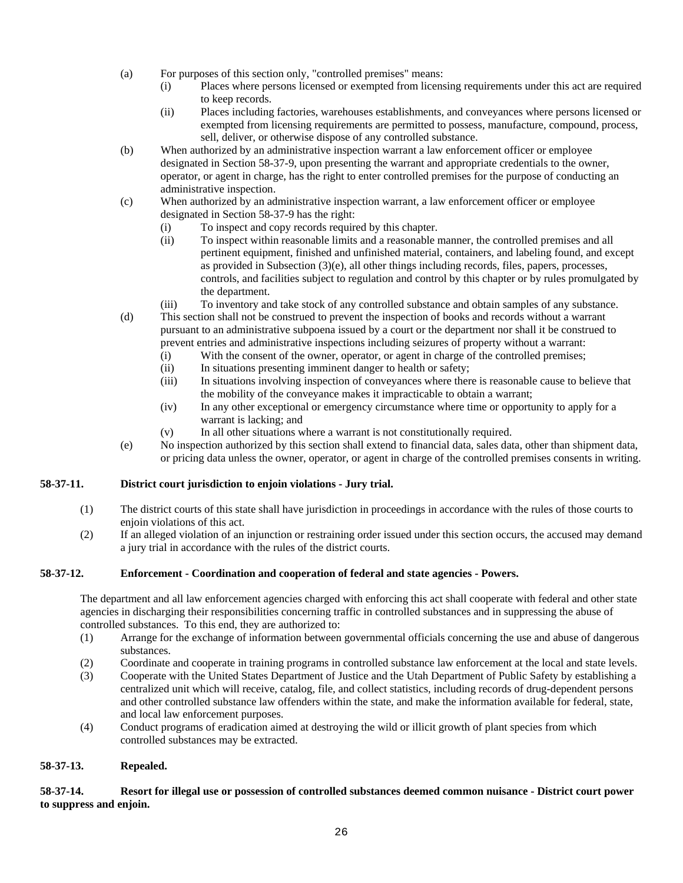- (a) For purposes of this section only, "controlled premises" means:
	- (i) Places where persons licensed or exempted from licensing requirements under this act are required to keep records.
	- (ii) Places including factories, warehouses establishments, and conveyances where persons licensed or exempted from licensing requirements are permitted to possess, manufacture, compound, process, sell, deliver, or otherwise dispose of any controlled substance.
- (b) When authorized by an administrative inspection warrant a law enforcement officer or employee designated in Section 58-37-9, upon presenting the warrant and appropriate credentials to the owner, operator, or agent in charge, has the right to enter controlled premises for the purpose of conducting an administrative inspection.
- (c) When authorized by an administrative inspection warrant, a law enforcement officer or employee designated in Section 58-37-9 has the right:
	- (i) To inspect and copy records required by this chapter.
	- (ii) To inspect within reasonable limits and a reasonable manner, the controlled premises and all pertinent equipment, finished and unfinished material, containers, and labeling found, and except as provided in Subsection (3)(e), all other things including records, files, papers, processes, controls, and facilities subject to regulation and control by this chapter or by rules promulgated by the department.
	- (iii) To inventory and take stock of any controlled substance and obtain samples of any substance.
- (d) This section shall not be construed to prevent the inspection of books and records without a warrant pursuant to an administrative subpoena issued by a court or the department nor shall it be construed to prevent entries and administrative inspections including seizures of property without a warrant:
	- (i) With the consent of the owner, operator, or agent in charge of the controlled premises;
	- (ii) In situations presenting imminent danger to health or safety;
	- (iii) In situations involving inspection of conveyances where there is reasonable cause to believe that the mobility of the conveyance makes it impracticable to obtain a warrant;
	- (iv) In any other exceptional or emergency circumstance where time or opportunity to apply for a warrant is lacking; and
	- (v) In all other situations where a warrant is not constitutionally required.
- (e) No inspection authorized by this section shall extend to financial data, sales data, other than shipment data, or pricing data unless the owner, operator, or agent in charge of the controlled premises consents in writing.

# **58-37-11. District court jurisdiction to enjoin violations - Jury trial.**

- (1) The district courts of this state shall have jurisdiction in proceedings in accordance with the rules of those courts to enjoin violations of this act.
- (2) If an alleged violation of an injunction or restraining order issued under this section occurs, the accused may demand a jury trial in accordance with the rules of the district courts.

# **58-37-12. Enforcement - Coordination and cooperation of federal and state agencies - Powers.**

The department and all law enforcement agencies charged with enforcing this act shall cooperate with federal and other state agencies in discharging their responsibilities concerning traffic in controlled substances and in suppressing the abuse of controlled substances. To this end, they are authorized to:

- (1) Arrange for the exchange of information between governmental officials concerning the use and abuse of dangerous substances.
- (2) Coordinate and cooperate in training programs in controlled substance law enforcement at the local and state levels.
- (3) Cooperate with the United States Department of Justice and the Utah Department of Public Safety by establishing a centralized unit which will receive, catalog, file, and collect statistics, including records of drug-dependent persons and other controlled substance law offenders within the state, and make the information available for federal, state, and local law enforcement purposes.
- (4) Conduct programs of eradication aimed at destroying the wild or illicit growth of plant species from which controlled substances may be extracted.

# **58-37-13. Repealed.**

**58-37-14. Resort for illegal use or possession of controlled substances deemed common nuisance - District court power to suppress and enjoin.**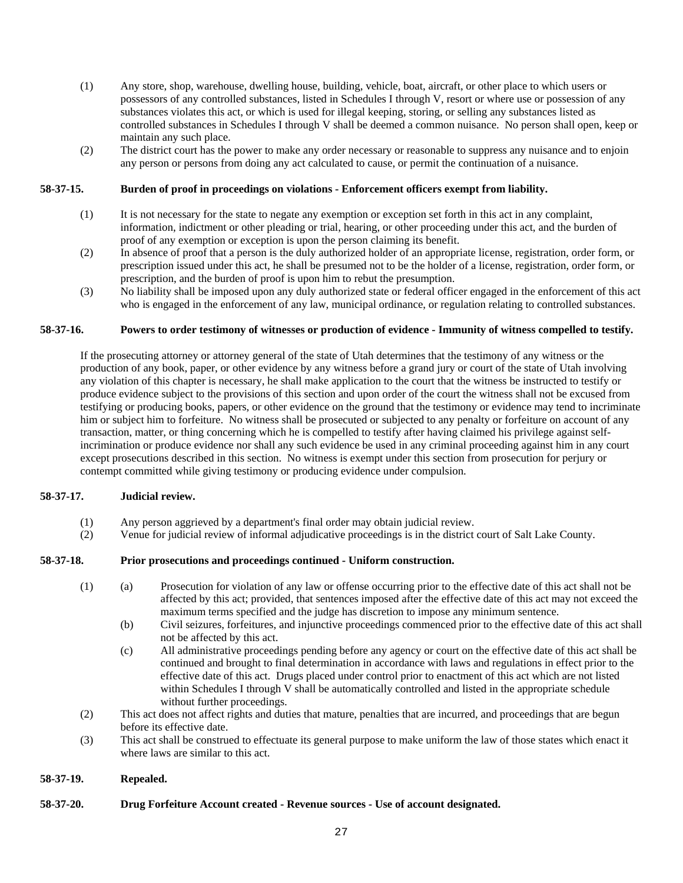- (1) Any store, shop, warehouse, dwelling house, building, vehicle, boat, aircraft, or other place to which users or possessors of any controlled substances, listed in Schedules I through V, resort or where use or possession of any substances violates this act, or which is used for illegal keeping, storing, or selling any substances listed as controlled substances in Schedules I through V shall be deemed a common nuisance. No person shall open, keep or maintain any such place.
- (2) The district court has the power to make any order necessary or reasonable to suppress any nuisance and to enjoin any person or persons from doing any act calculated to cause, or permit the continuation of a nuisance.

#### **58-37-15. Burden of proof in proceedings on violations - Enforcement officers exempt from liability.**

- (1) It is not necessary for the state to negate any exemption or exception set forth in this act in any complaint, information, indictment or other pleading or trial, hearing, or other proceeding under this act, and the burden of proof of any exemption or exception is upon the person claiming its benefit.
- (2) In absence of proof that a person is the duly authorized holder of an appropriate license, registration, order form, or prescription issued under this act, he shall be presumed not to be the holder of a license, registration, order form, or prescription, and the burden of proof is upon him to rebut the presumption.
- (3) No liability shall be imposed upon any duly authorized state or federal officer engaged in the enforcement of this act who is engaged in the enforcement of any law, municipal ordinance, or regulation relating to controlled substances.

#### **58-37-16. Powers to order testimony of witnesses or production of evidence - Immunity of witness compelled to testify.**

If the prosecuting attorney or attorney general of the state of Utah determines that the testimony of any witness or the production of any book, paper, or other evidence by any witness before a grand jury or court of the state of Utah involving any violation of this chapter is necessary, he shall make application to the court that the witness be instructed to testify or produce evidence subject to the provisions of this section and upon order of the court the witness shall not be excused from testifying or producing books, papers, or other evidence on the ground that the testimony or evidence may tend to incriminate him or subject him to forfeiture. No witness shall be prosecuted or subjected to any penalty or forfeiture on account of any transaction, matter, or thing concerning which he is compelled to testify after having claimed his privilege against selfincrimination or produce evidence nor shall any such evidence be used in any criminal proceeding against him in any court except prosecutions described in this section. No witness is exempt under this section from prosecution for perjury or contempt committed while giving testimony or producing evidence under compulsion.

#### **58-37-17. Judicial review.**

- (1) Any person aggrieved by a department's final order may obtain judicial review.
- (2) Venue for judicial review of informal adjudicative proceedings is in the district court of Salt Lake County.

#### **58-37-18. Prior prosecutions and proceedings continued - Uniform construction.**

- (1) (a) Prosecution for violation of any law or offense occurring prior to the effective date of this act shall not be affected by this act; provided, that sentences imposed after the effective date of this act may not exceed the maximum terms specified and the judge has discretion to impose any minimum sentence.
	- (b) Civil seizures, forfeitures, and injunctive proceedings commenced prior to the effective date of this act shall not be affected by this act.
	- (c) All administrative proceedings pending before any agency or court on the effective date of this act shall be continued and brought to final determination in accordance with laws and regulations in effect prior to the effective date of this act. Drugs placed under control prior to enactment of this act which are not listed within Schedules I through V shall be automatically controlled and listed in the appropriate schedule without further proceedings.
- (2) This act does not affect rights and duties that mature, penalties that are incurred, and proceedings that are begun before its effective date.
- (3) This act shall be construed to effectuate its general purpose to make uniform the law of those states which enact it where laws are similar to this act.

# **58-37-19. Repealed.**

**58-37-20. Drug Forfeiture Account created - Revenue sources - Use of account designated.**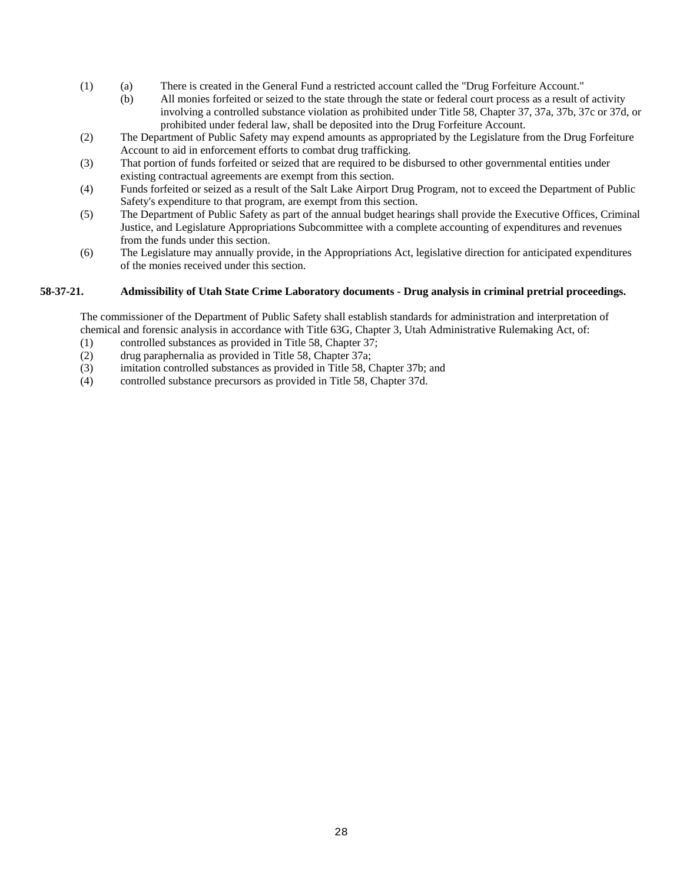- (1) (a) There is created in the General Fund a restricted account called the "Drug Forfeiture Account."
	- (b) All monies forfeited or seized to the state through the state or federal court process as a result of activity involving a controlled substance violation as prohibited under Title 58, Chapter 37, 37a, 37b, 37c or 37d, or prohibited under federal law, shall be deposited into the Drug Forfeiture Account.
- (2) The Department of Public Safety may expend amounts as appropriated by the Legislature from the Drug Forfeiture Account to aid in enforcement efforts to combat drug trafficking.
- (3) That portion of funds forfeited or seized that are required to be disbursed to other governmental entities under existing contractual agreements are exempt from this section.
- (4) Funds forfeited or seized as a result of the Salt Lake Airport Drug Program, not to exceed the Department of Public Safety's expenditure to that program, are exempt from this section.
- (5) The Department of Public Safety as part of the annual budget hearings shall provide the Executive Offices, Criminal Justice, and Legislature Appropriations Subcommittee with a complete accounting of expenditures and revenues from the funds under this section.
- (6) The Legislature may annually provide, in the Appropriations Act, legislative direction for anticipated expenditures of the monies received under this section.

# **58-37-21. Admissibility of Utah State Crime Laboratory documents - Drug analysis in criminal pretrial proceedings.**

The commissioner of the Department of Public Safety shall establish standards for administration and interpretation of chemical and forensic analysis in accordance with Title 63G, Chapter 3, Utah Administrative Rulemaking Act, of:

- (1) controlled substances as provided in Title 58, Chapter 37;
- (2) drug paraphernalia as provided in Title 58, Chapter 37a;
- (3) imitation controlled substances as provided in Title 58, Chapter 37b; and
- (4) controlled substance precursors as provided in Title 58, Chapter 37d.